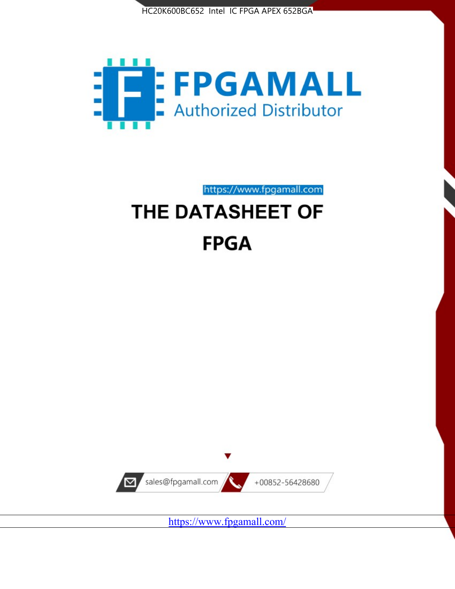



https://www.fpgamall.com

# THE DATASHEET OF **FPGA**



<https://www.fpgamall.com/>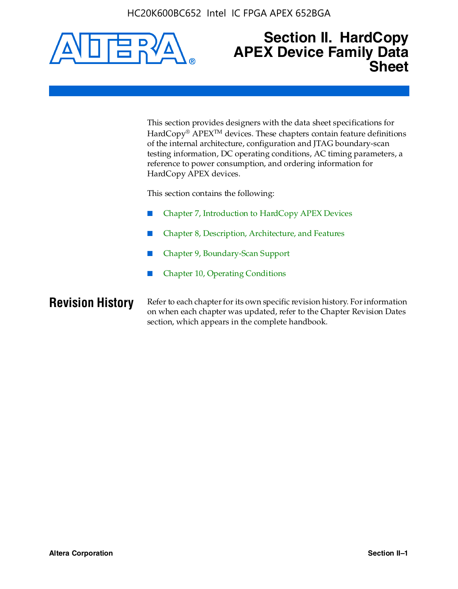

### **Section II. HardCopy APEX Device Family Data Sheet**

This section provides designers with the data sheet specifications for HardCopy<sup>®</sup> APEX<sup>™</sup> devices. These chapters contain feature definitions of the internal architecture, configuration and JTAG boundary-scan testing information, DC operating conditions, AC timing parameters, a reference to power consumption, and ordering information for HardCopy APEX devices.

This section contains the following:

- Chapter 7, Introduction to HardCopy APEX Devices
- Chapter 8, Description, Architecture, and Features
- Chapter 9, Boundary-Scan Support
- Chapter 10, Operating Conditions

**Revision History** Refer to each chapter for its own specific revision history. For information on when each chapter was updated, refer to the Chapter Revision Dates section, which appears in the complete handbook.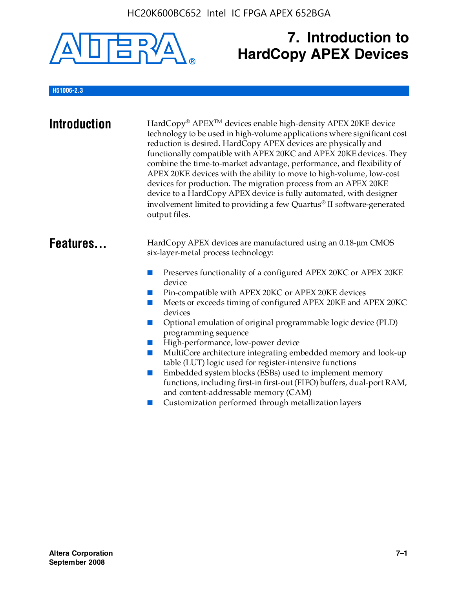

## **7. Introduction to HardCopy APEX Devices**

### **H51006-2.3**

| <b>Introduction</b> | HardCopy® APEX <sup>™</sup> devices enable high-density APEX 20KE device<br>technology to be used in high-volume applications where significant cost<br>reduction is desired. HardCopy APEX devices are physically and<br>functionally compatible with APEX 20KC and APEX 20KE devices. They<br>combine the time-to-market advantage, performance, and flexibility of<br>APEX 20KE devices with the ability to move to high-volume, low-cost<br>devices for production. The migration process from an APEX 20KE<br>device to a HardCopy APEX device is fully automated, with designer<br>involvement limited to providing a few Quartus® II software-generated<br>output files.                                                                                                                                    |
|---------------------|--------------------------------------------------------------------------------------------------------------------------------------------------------------------------------------------------------------------------------------------------------------------------------------------------------------------------------------------------------------------------------------------------------------------------------------------------------------------------------------------------------------------------------------------------------------------------------------------------------------------------------------------------------------------------------------------------------------------------------------------------------------------------------------------------------------------|
| Features            | HardCopy APEX devices are manufactured using an 0.18-um CMOS<br>six-layer-metal process technology:<br>Preserves functionality of a configured APEX 20KC or APEX 20KE<br>device<br>Pin-compatible with APEX 20KC or APEX 20KE devices<br>Meets or exceeds timing of configured APEX 20KE and APEX 20KC<br>devices<br>Optional emulation of original programmable logic device (PLD)<br>programming sequence<br>High-performance, low-power device<br>MultiCore architecture integrating embedded memory and look-up<br>table (LUT) logic used for register-intensive functions<br>Embedded system blocks (ESBs) used to implement memory<br>functions, including first-in first-out (FIFO) buffers, dual-port RAM,<br>and content-addressable memory (CAM)<br>Customization performed through metallization layers |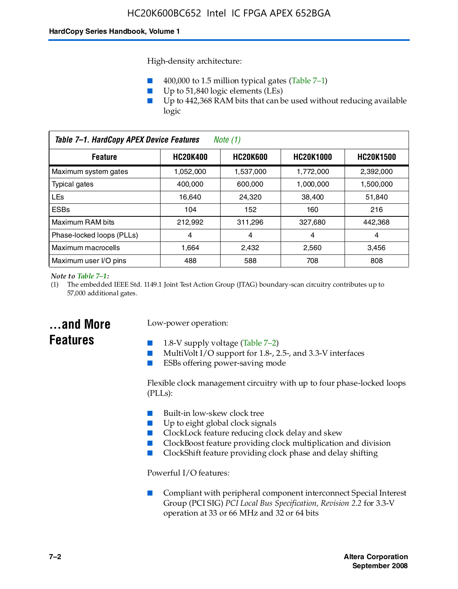High-density architecture:

- 400,000 to 1.5 million typical gates (Table 7–1)
- Up to 51,840 logic elements (LEs)
- Up to 442,368 RAM bits that can be used without reducing available logic

| Table 7-1. HardCopy APEX Device Features<br>Note $(1)$                                       |           |           |           |           |
|----------------------------------------------------------------------------------------------|-----------|-----------|-----------|-----------|
| <b>HC20K600</b><br><b>HC20K1000</b><br><b>HC20K400</b><br><b>HC20K1500</b><br><b>Feature</b> |           |           |           |           |
| Maximum system gates                                                                         | 1,052,000 | 1,537,000 | 1,772,000 | 2,392,000 |
| <b>Typical gates</b>                                                                         | 400.000   | 600,000   | 1.000.000 | 1,500,000 |
| <b>LEs</b>                                                                                   | 16.640    | 24.320    | 38.400    | 51,840    |
| <b>ESBs</b>                                                                                  | 104       | 152       | 160       | 216       |
| Maximum RAM bits                                                                             | 212.992   | 311,296   | 327.680   | 442,368   |
| Phase-locked loops (PLLs)                                                                    | 4         | 4         | 4         | 4         |
| Maximum macrocells                                                                           | 1.664     | 2,432     | 2,560     | 3,456     |
| Maximum user I/O pins                                                                        | 488       | 588       | 708       | 808       |

#### *Note to Table 7–1:*

(1) The embedded IEEE Std. 1149.1 Joint Test Action Group (JTAG) boundary-scan circuitry contributes up to 57,000 additional gates.

### **...and More Features**

### Low-power operation:

- 1.8-V supply voltage (Table  $7-2$ )
- MultiVolt I/O support for 1.8-, 2.5-, and 3.3-V interfaces
- ESBs offering power-saving mode

Flexible clock management circuitry with up to four phase-locked loops (PLLs):

- Built-in low-skew clock tree
- Up to eight global clock signals
- ClockLock feature reducing clock delay and skew
- ClockBoost feature providing clock multiplication and division
- ClockShift feature providing clock phase and delay shifting

Powerful I/O features:

■ Compliant with peripheral component interconnect Special Interest Group (PCI SIG) *PCI Local Bus Specification, Revision 2.2* for 3.3-V operation at 33 or 66 MHz and 32 or 64 bits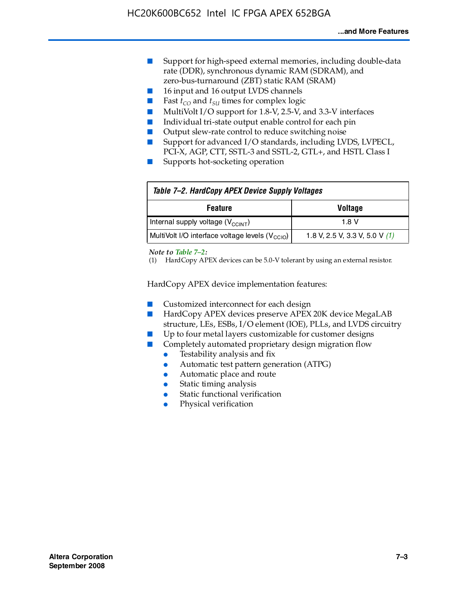- Support for high-speed external memories, including double-data rate (DDR), synchronous dynamic RAM (SDRAM), and zero-bus-turnaround (ZBT) static RAM (SRAM)
- 16 input and 16 output LVDS channels
- Fast  $t_{CO}$  and  $t_{SU}$  times for complex logic
- MultiVolt I/O support for 1.8-V, 2.5-V, and 3.3-V interfaces
- Individual tri-state output enable control for each pin
- Output slew-rate control to reduce switching noise
- Support for advanced I/O standards, including LVDS, LVPECL, PCI-X, AGP, CTT, SSTL-3 and SSTL-2, GTL+, and HSTL Class I
- Supports hot-socketing operation

| Table 7-2. HardCopy APEX Device Supply Voltages             |                                  |
|-------------------------------------------------------------|----------------------------------|
| <b>Feature</b>                                              | <b>Voltage</b>                   |
| Internal supply voltage (V <sub>CCINT</sub> )               | 1.8 V                            |
| MultiVolt I/O interface voltage levels (V <sub>CCIO</sub> ) | 1.8 V, 2.5 V, 3.3 V, 5.0 V $(1)$ |

#### *Note to Table 7–2:*

(1) HardCopy APEX devices can be 5.0-V tolerant by using an external resistor.

HardCopy APEX device implementation features:

- Customized interconnect for each design
- HardCopy APEX devices preserve APEX 20K device MegaLAB structure, LEs, ESBs, I/O element (IOE), PLLs, and LVDS circuitry
- Up to four metal layers customizable for customer designs
- Completely automated proprietary design migration flow
	- Testability analysis and fix
	- Automatic test pattern generation (ATPG)
	- Automatic place and route
	- Static timing analysis
	- Static functional verification
	- Physical verification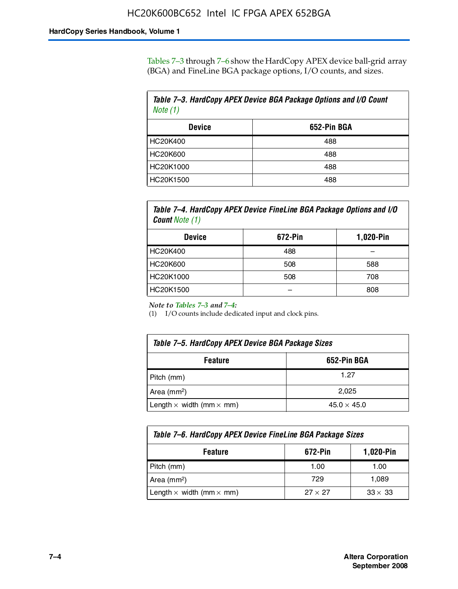Tables 7–3 through 7–6 show the HardCopy APEX device ball-grid array (BGA) and FineLine BGA package options, I/O counts, and sizes.

| Table 7-3. HardCopy APEX Device BGA Package Options and I/O Count<br>Note $(1)$ |     |  |
|---------------------------------------------------------------------------------|-----|--|
| 652-Pin BGA<br><b>Device</b>                                                    |     |  |
| HC20K400                                                                        | 488 |  |
| HC20K600                                                                        | 488 |  |
| HC20K1000                                                                       | 488 |  |
| HC20K1500                                                                       | 488 |  |

*Table 7–4. HardCopy APEX Device FineLine BGA Package Options and I/O Count Note (1)*

| <b>Device</b>   | 672-Pin | 1,020-Pin |
|-----------------|---------|-----------|
| HC20K400        | 488     |           |
| <b>HC20K600</b> | 508     | 588       |
| HC20K1000       | 508     | 708       |
| HC20K1500       |         | 808       |

*Note to Tables 7–3 and 7–4:*

(1) I/O counts include dedicated input and clock pins.

| Table 7–5. HardCopy APEX Device BGA Package Sizes |                    |  |
|---------------------------------------------------|--------------------|--|
| 652-Pin BGA<br><b>Feature</b>                     |                    |  |
| Pitch (mm)                                        | 1.27               |  |
| Area $(mm2)$                                      | 2.025              |  |
| Length $\times$ width (mm $\times$ mm)            | $45.0 \times 45.0$ |  |

| Table 7–6. HardCopy APEX Device FineLine BGA Package Sizes                 |      |       |  |
|----------------------------------------------------------------------------|------|-------|--|
| 1,020-Pin<br>672-Pin<br><b>Feature</b>                                     |      |       |  |
| Pitch (mm)                                                                 | 1.00 | 1.00  |  |
| Area $(mm2)$                                                               | 729  | 1,089 |  |
| Length $\times$ width (mm $\times$ mm)<br>$33 \times 33$<br>$27 \times 27$ |      |       |  |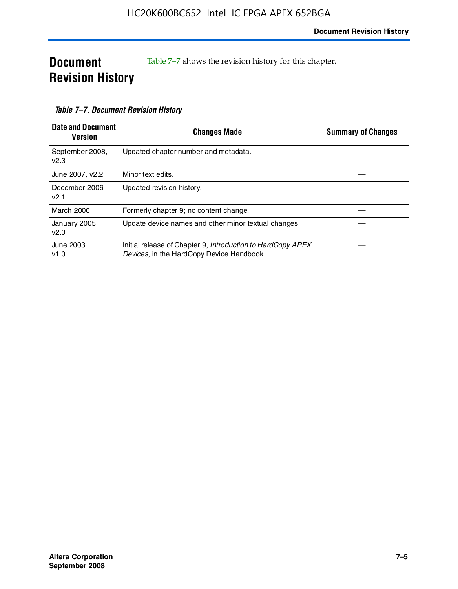### **Document Revision History**

Table 7–7 shows the revision history for this chapter.

|                                     | Table 7–7. Document Revision History                                                                    |                           |
|-------------------------------------|---------------------------------------------------------------------------------------------------------|---------------------------|
| <b>Date and Document</b><br>Version | <b>Changes Made</b>                                                                                     | <b>Summary of Changes</b> |
| September 2008,<br>V <sub>2.3</sub> | Updated chapter number and metadata.                                                                    |                           |
| June 2007, v2.2                     | Minor text edits.                                                                                       |                           |
| December 2006<br>v2.1               | Updated revision history.                                                                               |                           |
| March 2006                          | Formerly chapter 9; no content change.                                                                  |                           |
| January 2005<br>v2.0                | Update device names and other minor textual changes                                                     |                           |
| June 2003<br>v1.0                   | Initial release of Chapter 9, Introduction to HardCopy APEX<br>Devices, in the HardCopy Device Handbook |                           |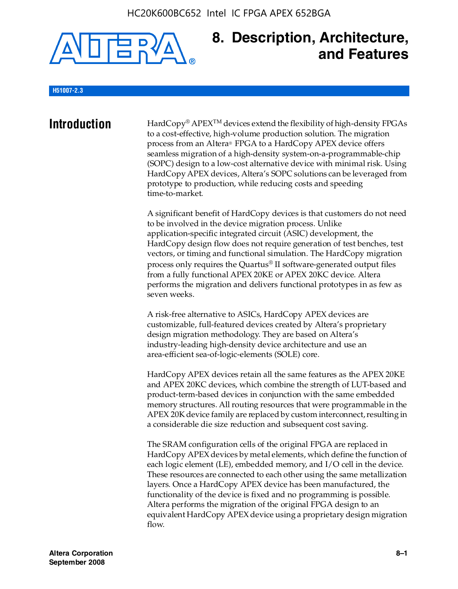

### **8. Description, Architecture, and Features**

#### **H51007-2.3**

**Introduction** HardCopy<sup>®</sup> APEX<sup>TM</sup> devices extend the flexibility of high-density FPGAs to a cost-effective, high-volume production solution. The migration process from an Altera® FPGA to a HardCopy APEX device offers seamless migration of a high-density system-on-a-programmable-chip (SOPC) design to a low-cost alternative device with minimal risk. Using HardCopy APEX devices, Altera's SOPC solutions can be leveraged from prototype to production, while reducing costs and speeding time-to-market.

> A significant benefit of HardCopy devices is that customers do not need to be involved in the device migration process. Unlike application-specific integrated circuit (ASIC) development, the HardCopy design flow does not require generation of test benches, test vectors, or timing and functional simulation. The HardCopy migration process only requires the Quartus® II software-generated output files from a fully functional APEX 20KE or APEX 20KC device. Altera performs the migration and delivers functional prototypes in as few as seven weeks.

A risk-free alternative to ASICs, HardCopy APEX devices are customizable, full-featured devices created by Altera's proprietary design migration methodology. They are based on Altera's industry-leading high-density device architecture and use an area-efficient sea-of-logic-elements (SOLE) core.

HardCopy APEX devices retain all the same features as the APEX 20KE and APEX 20KC devices, which combine the strength of LUT-based and product-term-based devices in conjunction with the same embedded memory structures. All routing resources that were programmable in the APEX 20K device family are replaced by custom interconnect, resulting in a considerable die size reduction and subsequent cost saving.

The SRAM configuration cells of the original FPGA are replaced in HardCopy APEX devices by metal elements, which define the function of each logic element (LE), embedded memory, and I/O cell in the device. These resources are connected to each other using the same metallization layers. Once a HardCopy APEX device has been manufactured, the functionality of the device is fixed and no programming is possible. Altera performs the migration of the original FPGA design to an equivalent HardCopy APEX device using a proprietary design migration flow.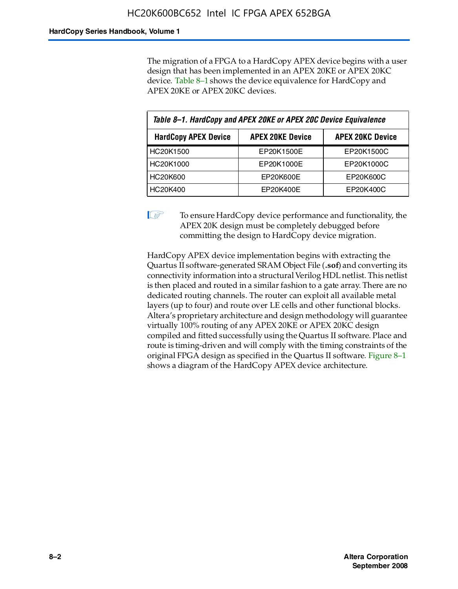The migration of a FPGA to a HardCopy APEX device begins with a user design that has been implemented in an APEX 20KE or APEX 20KC device. Table 8–1 shows the device equivalence for HardCopy and APEX 20KE or APEX 20KC devices.

| Table 8-1. HardCopy and APEX 20KE or APEX 20C Device Equivalence |                         |                         |  |
|------------------------------------------------------------------|-------------------------|-------------------------|--|
| <b>HardCopy APEX Device</b>                                      | <b>APEX 20KE Device</b> | <b>APEX 20KC Device</b> |  |
| HC20K1500                                                        | EP20K1500E              | EP20K1500C              |  |
| HC20K1000                                                        | EP20K1000E              | EP20K1000C              |  |
| HC20K600                                                         | EP20K600E               | EP20K600C               |  |
| HC20K400                                                         | EP20K400E               | EP20K400C               |  |

 $\mathbb{I}$  To ensure HardCopy device performance and functionality, the APEX 20K design must be completely debugged before committing the design to HardCopy device migration.

HardCopy APEX device implementation begins with extracting the Quartus II software-generated SRAM Object File (**.sof**) and converting its connectivity information into a structural Verilog HDL netlist. This netlist is then placed and routed in a similar fashion to a gate array. There are no dedicated routing channels. The router can exploit all available metal layers (up to four) and route over LE cells and other functional blocks. Altera's proprietary architecture and design methodology will guarantee virtually 100% routing of any APEX 20KE or APEX 20KC design compiled and fitted successfully using the Quartus II software. Place and route is timing-driven and will comply with the timing constraints of the original FPGA design as specified in the Quartus II software. Figure 8–1 shows a diagram of the HardCopy APEX device architecture.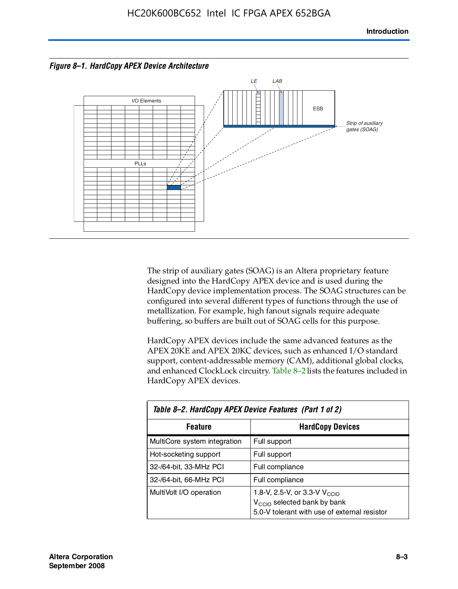



The strip of auxiliary gates (SOAG) is an Altera proprietary feature designed into the HardCopy APEX device and is used during the HardCopy device implementation process. The SOAG structures can be configured into several different types of functions through the use of metallization. For example, high fanout signals require adequate buffering, so buffers are built out of SOAG cells for this purpose.

HardCopy APEX devices include the same advanced features as the APEX 20KE and APEX 20KC devices, such as enhanced I/O standard support, content-addressable memory (CAM), additional global clocks, and enhanced ClockLock circuitry. Table 8–2 lists the features included in HardCopy APEX devices.

| Table 8-2. HardCopy APEX Device Features (Part 1 of 2) |                                                                                                                                     |  |  |
|--------------------------------------------------------|-------------------------------------------------------------------------------------------------------------------------------------|--|--|
| <b>HardCopy Devices</b><br><b>Feature</b>              |                                                                                                                                     |  |  |
| MultiCore system integration                           | Full support                                                                                                                        |  |  |
| Hot-socketing support                                  | Full support                                                                                                                        |  |  |
| 32-/64-bit, 33-MHz PCI                                 | Full compliance                                                                                                                     |  |  |
| 32-/64-bit, 66-MHz PCI                                 | Full compliance                                                                                                                     |  |  |
| MultiVolt I/O operation                                | 1.8-V, 2.5-V, or 3.3-V $V_{\text{CCIO}}$<br>V <sub>CCIO</sub> selected bank by bank<br>5.0-V tolerant with use of external resistor |  |  |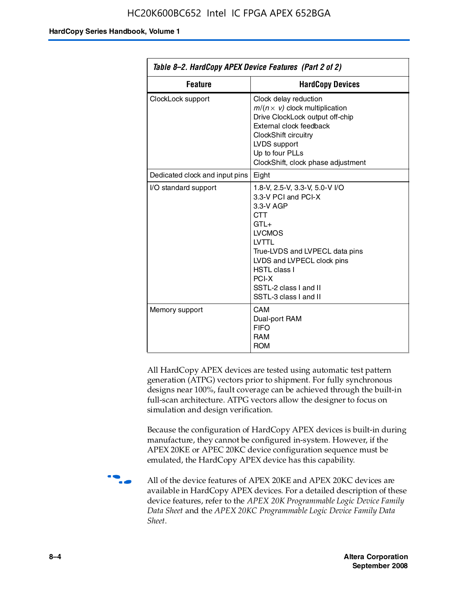| Table 8–2. HardCopy APEX Device Features (Part 2 of 2) |                                                                                                                                                                                                                                                                               |  |
|--------------------------------------------------------|-------------------------------------------------------------------------------------------------------------------------------------------------------------------------------------------------------------------------------------------------------------------------------|--|
| <b>Feature</b><br><b>HardCopy Devices</b>              |                                                                                                                                                                                                                                                                               |  |
| ClockLock support                                      | Clock delay reduction<br>$m/(n \times v)$ clock multiplication<br>Drive ClockLock output off-chip<br>External clock feedback<br>ClockShift circuitry<br>LVDS support<br>Up to four PLLs<br>ClockShift, clock phase adjustment                                                 |  |
| Dedicated clock and input pins   Eight                 |                                                                                                                                                                                                                                                                               |  |
| I/O standard support                                   | 1.8-V, 2.5-V, 3.3-V, 5.0-V I/O<br>3.3-V PCI and PCI-X<br>3.3-V AGP<br><b>CTT</b><br>$GTL+$<br><b>LVCMOS</b><br><b>IVTTI</b><br>True-LVDS and LVPECL data pins<br>LVDS and LVPECL clock pins<br><b>HSTL class I</b><br>PCI-X<br>SSTL-2 class I and II<br>SSTL-3 class I and II |  |
| Memory support                                         | <b>CAM</b><br>Dual-port RAM<br><b>FIFO</b><br><b>RAM</b><br><b>ROM</b>                                                                                                                                                                                                        |  |

All HardCopy APEX devices are tested using automatic test pattern generation (ATPG) vectors prior to shipment. For fully synchronous designs near 100%, fault coverage can be achieved through the built-in full-scan architecture. ATPG vectors allow the designer to focus on simulation and design verification.

Because the configuration of HardCopy APEX devices is built-in during manufacture, they cannot be configured in-system. However, if the APEX 20KE or APEC 20KC device configuration sequence must be emulated, the HardCopy APEX device has this capability.

**f all of the device features of APEX 20KE and APEX 20KC devices are** available in HardCopy APEX devices. For a detailed description of these device features, refer to the *APEX 20K Programmable Logic Device Family Data Sheet* and the *APEX 20KC Programmable Logic Device Family Data Sheet*.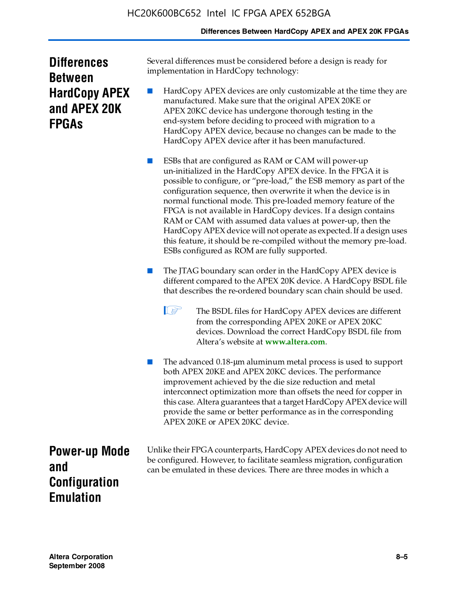### **Differences Between HardCopy APEX and APEX 20K FPGAs**

| <b>Differences</b>   |
|----------------------|
| <b>Between</b>       |
| <b>HardCopy APEX</b> |
| and APEX 20K         |
| <b>FPGAS</b>         |

Several differences must be considered before a design is ready for implementation in HardCopy technology:

HardCopy APEX devices are only customizable at the time they are manufactured. Make sure that the original APEX 20KE or APEX 20KC device has undergone thorough testing in the end-system before deciding to proceed with migration to a HardCopy APEX device, because no changes can be made to the HardCopy APEX device after it has been manufactured.

ESBs that are configured as RAM or CAM will power-up un-initialized in the HardCopy APEX device. In the FPGA it is possible to configure, or "pre-load," the ESB memory as part of the configuration sequence, then overwrite it when the device is in normal functional mode. This pre-loaded memory feature of the FPGA is not available in HardCopy devices. If a design contains RAM or CAM with assumed data values at power-up, then the HardCopy APEX device will not operate as expected. If a design uses this feature, it should be re-compiled without the memory pre-load. ESBs configured as ROM are fully supported.

- The JTAG boundary scan order in the HardCopy APEX device is different compared to the APEX 20K device. A HardCopy BSDL file that describes the re-ordered boundary scan chain should be used.
	- **1 The BSDL files for HardCopy APEX devices are different** from the corresponding APEX 20KE or APEX 20KC devices. Download the correct HardCopy BSDL file from Altera's website at **[www.altera.com](http://www.altera.com)**.

The advanced 0.18-μm aluminum metal process is used to support both APEX 20KE and APEX 20KC devices. The performance improvement achieved by the die size reduction and metal interconnect optimization more than offsets the need for copper in this case. Altera guarantees that a target HardCopy APEX device will provide the same or better performance as in the corresponding APEX 20KE or APEX 20KC device.

**Power-up Mode and Configuration Emulation**

Unlike their FPGA counterparts, HardCopy APEX devices do not need to be configured. However, to facilitate seamless migration, configuration can be emulated in these devices. There are three modes in which a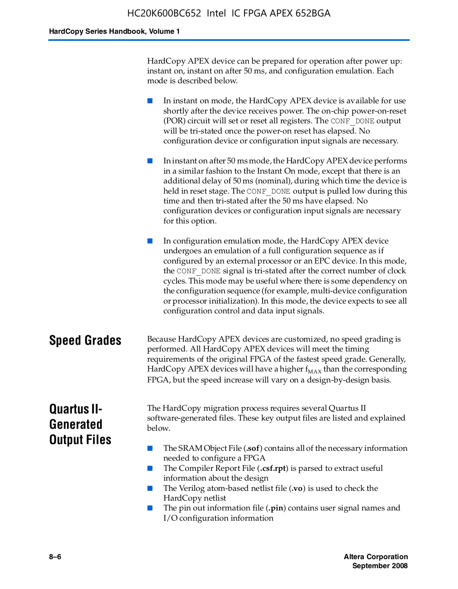HardCopy APEX device can be prepared for operation after power up: instant on, instant on after 50 ms, and configuration emulation. Each mode is described below.

■ In instant on mode, the HardCopy APEX device is available for use shortly after the device receives power. The on-chip power-on-reset (POR) circuit will set or reset all registers. The CONF\_DONE output will be tri-stated once the power-on reset has elapsed. No configuration device or configuration input signals are necessary.

In instant on after 50 ms mode, the HardCopy APEX device performs in a similar fashion to the Instant On mode, except that there is an additional delay of 50 ms (nominal), during which time the device is held in reset stage. The CONF DONE output is pulled low during this time and then tri-stated after the 50 ms have elapsed. No configuration devices or configuration input signals are necessary for this option.

In configuration emulation mode, the HardCopy APEX device undergoes an emulation of a full configuration sequence as if configured by an external processor or an EPC device. In this mode, the CONF\_DONE signal is tri-stated after the correct number of clock cycles. This mode may be useful where there is some dependency on the configuration sequence (for example, multi-device configuration or processor initialization). In this mode, the device expects to see all configuration control and data input signals.

### **Speed Grades** Because HardCopy APEX devices are customized, no speed grading is performed. All HardCopy APEX devices will meet the timing requirements of the original FPGA of the fastest speed grade. Generally, HardCopy APEX devices will have a higher  $f_{MAX}$  than the corresponding FPGA, but the speed increase will vary on a design-by-design basis.

### **Quartus II-Generated Output Files**

The HardCopy migration process requires several Quartus II software-generated files. These key output files are listed and explained below.

- The SRAM Object File (**.sof**) contains all of the necessary information needed to configure a FPGA
- The Compiler Report File (.csf.rpt) is parsed to extract useful information about the design
- The Verilog atom-based netlist file (**.vo**) is used to check the HardCopy netlist
- The pin out information file (**.pin**) contains user signal names and I/O configuration information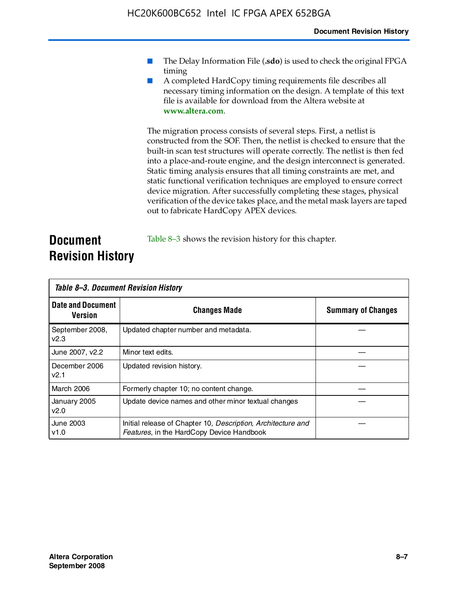- The Delay Information File (.sdo) is used to check the original FPGA timing
- A completed HardCopy timing requirements file describes all necessary timing information on the design. A template of this text file is available for download from the Altera website at **www.altera.com**.

The migration process consists of several steps. First, a netlist is constructed from the SOF. Then, the netlist is checked to ensure that the built-in scan test structures will operate correctly. The netlist is then fed into a place-and-route engine, and the design interconnect is generated. Static timing analysis ensures that all timing constraints are met, and static functional verification techniques are employed to ensure correct device migration. After successfully completing these stages, physical verification of the device takes place, and the metal mask layers are taped out to fabricate HardCopy APEX devices.

### **Document Revision History** Table 8–3 shows the revision history for this chapter.

| Table 8–3. Document Revision History |                                                                                                           |                           |  |  |
|--------------------------------------|-----------------------------------------------------------------------------------------------------------|---------------------------|--|--|
| <b>Date and Document</b><br>Version  | <b>Changes Made</b>                                                                                       | <b>Summary of Changes</b> |  |  |
| September 2008,<br>V <sub>2.3</sub>  | Updated chapter number and metadata.                                                                      |                           |  |  |
| June 2007, v2.2                      | Minor text edits.                                                                                         |                           |  |  |
| December 2006<br>v2.1                | Updated revision history.                                                                                 |                           |  |  |
| March 2006                           | Formerly chapter 10; no content change.                                                                   |                           |  |  |
| January 2005<br>v2.0                 | Update device names and other minor textual changes                                                       |                           |  |  |
| <b>June 2003</b><br>v1.0             | Initial release of Chapter 10, Description, Architecture and<br>Features, in the HardCopy Device Handbook |                           |  |  |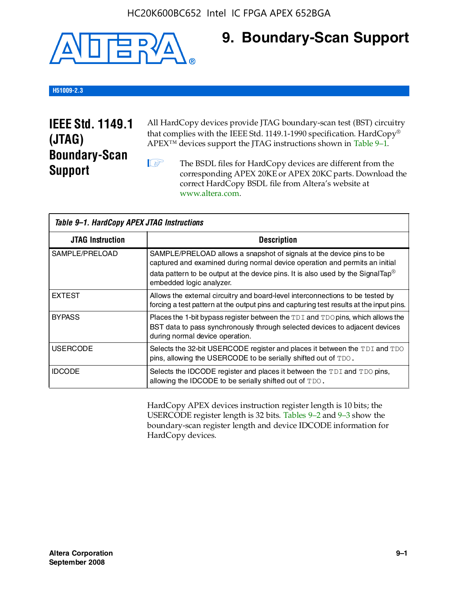

### **9. Boundary-Scan Support**

### **H51009-2.3**

### **IEEE Std. 1149.1 (JTAG) Boundary-Scan Support**

All HardCopy devices provide JTAG boundary-scan test (BST) circuitry that complies with the IEEE Std. 1149.1-1990 specification. HardCopy® APEX™ devices support the JTAG instructions shown in Table 9–1.

**1 The BSDL files for HardCopy devices are different from the** corresponding APEX 20KE or APEX 20KC parts. Download the [correct HardCopy BSDL file from Altera's website at](http://www.altera.com)  www.altera.com.

| Table 9-1. HardCopy APEX JTAG Instructions |                                                                                                                                                                                                                                                                                |  |  |  |
|--------------------------------------------|--------------------------------------------------------------------------------------------------------------------------------------------------------------------------------------------------------------------------------------------------------------------------------|--|--|--|
| <b>JTAG Instruction</b>                    | <b>Description</b>                                                                                                                                                                                                                                                             |  |  |  |
| SAMPLE/PRELOAD                             | SAMPLE/PRELOAD allows a snapshot of signals at the device pins to be<br>captured and examined during normal device operation and permits an initial<br>data pattern to be output at the device pins. It is also used by the SignalTap <sup>®</sup><br>embedded logic analyzer. |  |  |  |
| <b>EXTEST</b>                              | Allows the external circuitry and board-level interconnections to be tested by<br>forcing a test pattern at the output pins and capturing test results at the input pins.                                                                                                      |  |  |  |
| <b>BYPASS</b>                              | Places the 1-bit bypass register between the TDI and TDO pins, which allows the<br>BST data to pass synchronously through selected devices to adjacent devices<br>during normal device operation.                                                                              |  |  |  |
| <b>USERCODE</b>                            | Selects the 32-bit USERCODE register and places it between the TDI and TDO<br>pins, allowing the USERCODE to be serially shifted out of TDO.                                                                                                                                   |  |  |  |
| <b>IDCODE</b>                              | Selects the IDCODE register and places it between the TDI and TDO pins,<br>allowing the IDCODE to be serially shifted out of TDO.                                                                                                                                              |  |  |  |

HardCopy APEX devices instruction register length is 10 bits; the USERCODE register length is 32 bits. Tables 9–2 and 9–3 show the boundary-scan register length and device IDCODE information for HardCopy devices.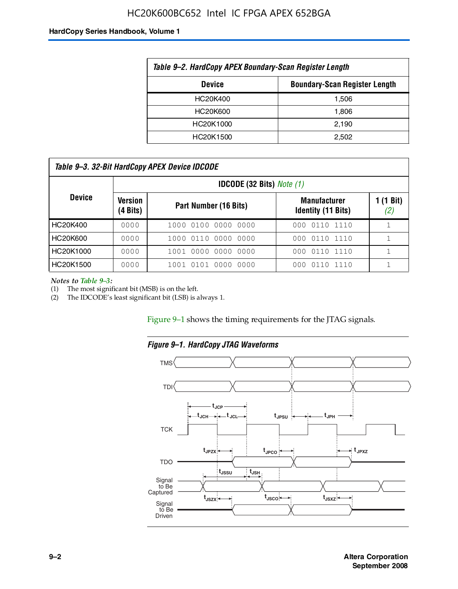### HC20K600BC652 Intel IC FPGA APEX 652BGA

#### **HardCopy Series Handbook, Volume 1**

| Table 9–2. HardCopy APEX Boundary-Scan Register Length |                                      |  |  |  |
|--------------------------------------------------------|--------------------------------------|--|--|--|
| <b>Device</b>                                          | <b>Boundary-Scan Register Length</b> |  |  |  |
| HC20K400                                               | 1,506                                |  |  |  |
| HC20K600                                               | 1.806                                |  |  |  |
| HC20K1000                                              | 2,190                                |  |  |  |
| HC20K1500                                              | 2.502                                |  |  |  |

| Table 9–3. 32-Bit HardCopy APEX Device IDCODE |                     |                                         |                                                  |                           |  |  |  |
|-----------------------------------------------|---------------------|-----------------------------------------|--------------------------------------------------|---------------------------|--|--|--|
|                                               |                     | <b>IDCODE (32 Bits)</b> <i>Note (1)</i> |                                                  |                           |  |  |  |
| <b>Device</b>                                 | Version<br>(4 Bits) | Part Number (16 Bits)                   | <b>Manufacturer</b><br><b>Identity (11 Bits)</b> | $1(1 \text{ Bit})$<br>(2) |  |  |  |
| HC20K400                                      | 0000                | 1000 0100 0000 0000                     | 0110 1110<br>000                                 |                           |  |  |  |
| HC20K600                                      | 0000                | 1000 0110 0000 0000                     | 000 0110 1110                                    |                           |  |  |  |
| HC20K1000                                     | 0000                | 1001 0000 0000 0000                     | 000 0110 1110                                    |                           |  |  |  |
| HC20K1500                                     | 0000                | 1001 0101 0000<br>0000                  | 0110 1110<br>000                                 |                           |  |  |  |

*Notes to Table 9–3:*

(1) The most significant bit (MSB) is on the left.

(2) The IDCODE's least significant bit (LSB) is always 1.

Figure 9–1 shows the timing requirements for the JTAG signals.



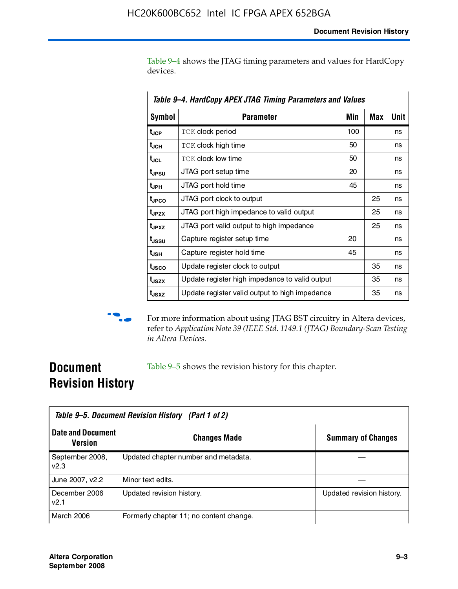Table 9–4 shows the JTAG timing parameters and values for HardCopy devices.

| Table 9–4. HardCopy APEX JTAG Timing Parameters and Values |                                                |     |     |      |  |
|------------------------------------------------------------|------------------------------------------------|-----|-----|------|--|
| <b>Symbol</b>                                              | <b>Parameter</b>                               | Min | Max | Unit |  |
| t <sub>JCP</sub>                                           | <b>TCK clock period</b>                        | 100 |     | ns   |  |
| t <sub>JCH</sub>                                           | <b>TCK clock high time</b>                     | 50  |     | ns   |  |
| t <sub>JCL</sub>                                           | <b>TCK clock low time</b>                      | 50  |     | ns   |  |
| t <sub>JPSU</sub>                                          | JTAG port setup time                           | 20  |     | ns   |  |
| t <sub>JPH</sub>                                           | JTAG port hold time                            | 45  |     | ns   |  |
| t <sub>JPCO</sub>                                          | JTAG port clock to output                      |     | 25  | ns   |  |
| t <sub>JPZX</sub>                                          | JTAG port high impedance to valid output       |     | 25  | ns   |  |
| t <sub>JPXZ</sub>                                          | JTAG port valid output to high impedance       |     | 25  | ns   |  |
| t <sub>JSSU</sub>                                          | Capture register setup time                    | 20  |     | ns   |  |
| $t_{\sf JSH}$                                              | Capture register hold time                     | 45  |     | ns   |  |
| t <sub>usco</sub>                                          | Update register clock to output                |     | 35  | ns   |  |
| t <sub>JSZX</sub>                                          | Update register high impedance to valid output |     | 35  | ns   |  |
| t <sub>JSXZ</sub>                                          | Update register valid output to high impedance |     | 35  | ns   |  |



 $\bullet\hspace{0.1cm}$  For more information about using JTAG BST circuitry in Altera devices, refer to *Application Note 39 (IEEE Std. 1149.1 (JTAG) Boundary-Scan Testing in Altera Devices*.

### **Document Revision History**

Table 9–5 shows the revision history for this chapter.

| Table 9–5. Document Revision History (Part 1 of 2) |                                         |                           |  |  |
|----------------------------------------------------|-----------------------------------------|---------------------------|--|--|
| <b>Date and Document</b><br>Version                | <b>Changes Made</b>                     | <b>Summary of Changes</b> |  |  |
| September 2008,<br>v2.3                            | Updated chapter number and metadata.    |                           |  |  |
| June 2007, v2.2                                    | Minor text edits.                       |                           |  |  |
| December 2006<br>v2.1                              | Updated revision history.               | Updated revision history. |  |  |
| <b>March 2006</b>                                  | Formerly chapter 11; no content change. |                           |  |  |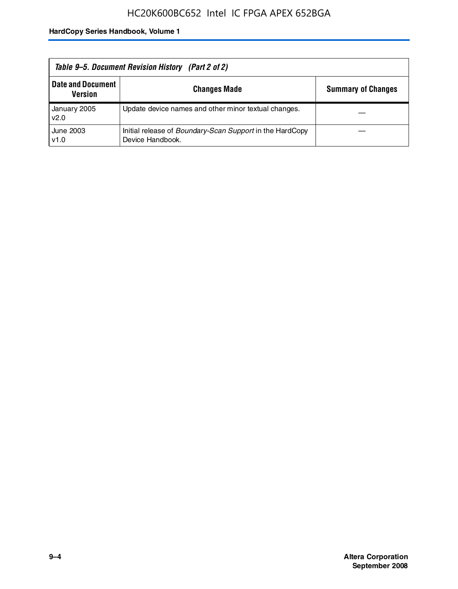| Table 9–5. Document Revision History (Part 2 of 2) |                                                                                     |                           |  |  |
|----------------------------------------------------|-------------------------------------------------------------------------------------|---------------------------|--|--|
| <b>Date and Document</b><br><b>Version</b>         | <b>Changes Made</b>                                                                 | <b>Summary of Changes</b> |  |  |
| January 2005<br>v2.0                               | Update device names and other minor textual changes.                                |                           |  |  |
| June 2003<br>v1.0                                  | Initial release of <i>Boundary-Scan Support</i> in the HardCopy<br>Device Handbook. |                           |  |  |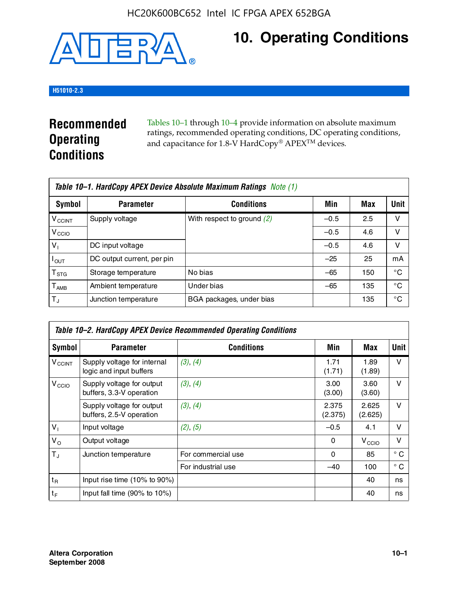

## **10. Operating Conditions**

### **H51010-2.3**

### **Recommended Operating Conditions**

Tables 10–1 through 10–4 provide information on absolute maximum ratings, recommended operating conditions, DC operating conditions, and capacitance for 1.8-V HardCopy® APEX<sup>TM</sup> devices.

|                           | Table 10–1. HardCopy APEX Device Absolute Maximum Ratings Note (1) |                              |        |     |      |  |  |
|---------------------------|--------------------------------------------------------------------|------------------------------|--------|-----|------|--|--|
| Symbol                    | <b>Parameter</b>                                                   | <b>Conditions</b>            | Min    | Max | Unit |  |  |
| <b>V<sub>CCINT</sub></b>  | Supply voltage                                                     | With respect to ground $(2)$ | $-0.5$ | 2.5 | v    |  |  |
| V <sub>CCIO</sub>         |                                                                    |                              | $-0.5$ | 4.6 | ν    |  |  |
| $V_1$                     | DC input voltage                                                   |                              | $-0.5$ | 4.6 | v    |  |  |
| $I_{OUT}$                 | DC output current, per pin                                         |                              | $-25$  | 25  | mA   |  |  |
| $\mathsf{T}_{\text{STG}}$ | Storage temperature                                                | No bias                      | $-65$  | 150 | °€   |  |  |
| $T_{\sf AMB}$             | Ambient temperature                                                | Under bias                   | $-65$  | 135 | °C   |  |  |
| $T_{\rm J}$               | Junction temperature                                               | BGA packages, under bias     |        | 135 | °C   |  |  |

|                          | Table 10–2. HardCopy APEX Device Recommended Operating Conditions |                    |                  |                   |              |  |  |
|--------------------------|-------------------------------------------------------------------|--------------------|------------------|-------------------|--------------|--|--|
| Symbol                   | <b>Parameter</b>                                                  | <b>Conditions</b>  | Min              | Max               | <b>Unit</b>  |  |  |
| <b>V<sub>CCINT</sub></b> | Supply voltage for internal<br>logic and input buffers            | (3), (4)           | 1.71<br>(1.71)   | 1.89<br>(1.89)    | $\vee$       |  |  |
| V <sub>CCIO</sub>        | Supply voltage for output<br>buffers, 3.3-V operation             | (3), (4)           | 3.00<br>(3.00)   | 3.60<br>(3.60)    | $\vee$       |  |  |
|                          | Supply voltage for output<br>buffers, 2.5-V operation             | (3), (4)           | 2.375<br>(2.375) | 2.625<br>(2.625)  | $\vee$       |  |  |
| $V_1$                    | Input voltage                                                     | (2), (5)           | $-0.5$           | 4.1               | v            |  |  |
| $V_{\rm O}$              | Output voltage                                                    |                    | 0                | V <sub>CCIO</sub> | $\vee$       |  |  |
| $T_{\rm J}$              | Junction temperature                                              | For commercial use | 0                | 85                | $^{\circ}$ C |  |  |
|                          |                                                                   | For industrial use | $-40$            | 100               | $^{\circ}$ C |  |  |
| $t_{R}$                  | Input rise time (10% to 90%)                                      |                    |                  | 40                | ns           |  |  |
| $t_F$                    | Input fall time $(90\% \text{ to } 10\%)$                         |                    |                  | 40                | ns           |  |  |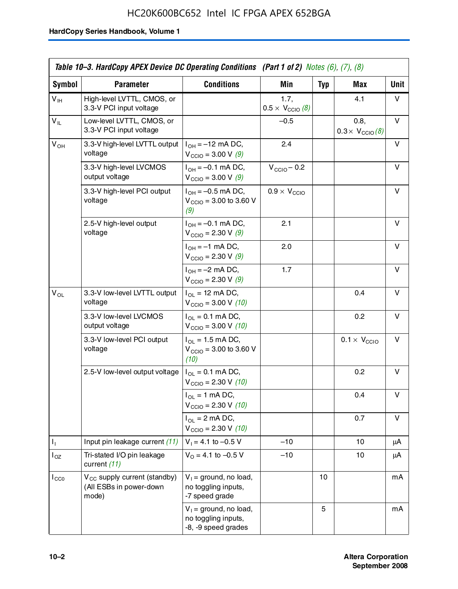### HC20K600BC652 Intel IC FPGA APEX 652BGA

|                 | Table 10–3. HardCopy APEX Device DC Operating Conditions (Part 1 of 2) Notes $(6)$ , $(7)$ , $(8)$ |                                                                        |                                          |            |                                         |             |
|-----------------|----------------------------------------------------------------------------------------------------|------------------------------------------------------------------------|------------------------------------------|------------|-----------------------------------------|-------------|
| Symbol          | <b>Parameter</b>                                                                                   | <b>Conditions</b>                                                      | <b>Min</b>                               | <b>Typ</b> | Max                                     | <b>Unit</b> |
| $V_{\text{IH}}$ | High-level LVTTL, CMOS, or<br>3.3-V PCI input voltage                                              |                                                                        | 1.7,<br>$0.5 \times V_{\text{CCIO}}$ (8) |            | 4.1                                     | v           |
| $V_{IL}$        | Low-level LVTTL, CMOS, or<br>3.3-V PCI input voltage                                               |                                                                        | $-0.5$                                   |            | 0.8,<br>$0.3 \times V_{\text{CCIO}}(8)$ | v           |
| $V_{OH}$        | 3.3-V high-level LVTTL output<br>voltage                                                           | $I_{OH} = -12$ mA DC,<br>$V_{\text{CCIO}} = 3.00 \text{ V} (9)$        | 2.4                                      |            |                                         | v           |
|                 | 3.3-V high-level LVCMOS<br>output voltage                                                          | $I_{OH} = -0.1$ mA DC,<br>$V_{\text{CCIO}} = 3.00 \text{ V} (9)$       | $V_{\text{CCIO}} - 0.2$                  |            |                                         | v           |
|                 | 3.3-V high-level PCI output<br>voltage                                                             | $I_{OH} = -0.5$ mA DC,<br>$V_{\text{CCIO}} = 3.00$ to 3.60 V<br>(9)    | $0.9 \times V_{\text{CCIO}}$             |            |                                         | v           |
|                 | 2.5-V high-level output<br>voltage                                                                 | $I_{OH} = -0.1$ mA DC,<br>$V_{\text{CCIO}} = 2.30 \text{ V } (9)$      | 2.1                                      |            |                                         | v           |
|                 |                                                                                                    | $I_{OH} = -1$ mA DC,<br>$V_{\text{CCIO}} = 2.30 \text{ V} (9)$         | 2.0                                      |            |                                         | v           |
|                 |                                                                                                    | $I_{OH} = -2$ mA DC,<br>$V_{\text{CCIO}} = 2.30 \text{ V} (9)$         | 1.7                                      |            |                                         | v           |
| $V_{OL}$        | 3.3-V low-level LVTTL output<br>voltage                                                            | $I_{OL}$ = 12 mA DC,<br>$V_{\text{CCIO}} = 3.00 \text{ V} (10)$        |                                          |            | 0.4                                     | v           |
|                 | 3.3-V low-level LVCMOS<br>output voltage                                                           | $I_{OL} = 0.1$ mA DC,<br>$V_{\text{CCIO}} = 3.00 \text{ V} (10)$       |                                          |            | 0.2                                     | v           |
|                 | 3.3-V low-level PCI output<br>voltage                                                              | $I_{OL}$ = 1.5 mA DC,<br>$V_{\text{CCIO}} = 3.00$ to 3.60 V<br>(10)    |                                          |            | $0.1 \times V_{\text{CCIO}}$            | v           |
|                 | 2.5-V low-level output voltage                                                                     | $I_{OL} = 0.1$ mA DC,<br>$V_{\text{CCIO}} = 2.30 \text{ V} (10)$       |                                          |            | 0.2                                     | v           |
|                 |                                                                                                    | $I_{OL}$ = 1 mA DC,<br>$V_{\text{CCIO}} = 2.30 \text{ V} (10)$         |                                          |            | 0.4                                     | v           |
|                 |                                                                                                    | $I_{OL}$ = 2 mA DC,<br>$V_{\text{CCIO}} = 2.30 V (10)$                 |                                          |            | 0.7                                     | v           |
| Τ,              | Input pin leakage current (11)                                                                     | $V_1 = 4.1$ to -0.5 V                                                  | $-10$                                    |            | 10                                      | μA          |
| $I_{OZ}$        | Tri-stated I/O pin leakage<br>current (11)                                                         | $V_0 = 4.1$ to $-0.5$ V                                                | $-10$                                    |            | 10                                      | μA          |
| $I_{CC0}$       | V <sub>CC</sub> supply current (standby)<br>(All ESBs in power-down<br>mode)                       | $V_1$ = ground, no load,<br>no toggling inputs,<br>-7 speed grade      |                                          | 10         |                                         | mA          |
|                 |                                                                                                    | $V_1$ = ground, no load,<br>no toggling inputs,<br>-8, -9 speed grades |                                          | 5          |                                         | mA          |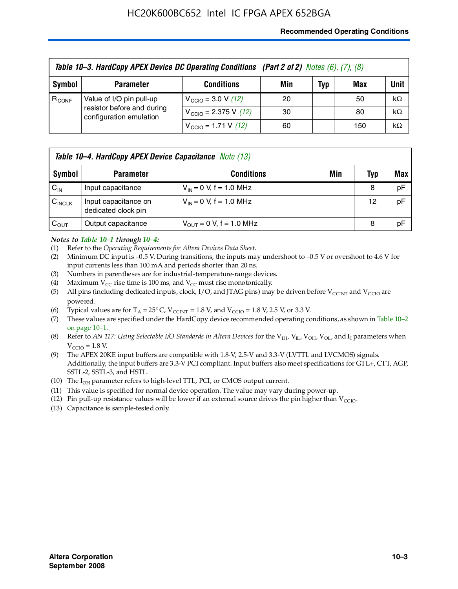#### **Recommended Operating Conditions**

| Table 10-3. HardCopy APEX Device DC Operating Conditions (Part 2 of 2) Notes (6), (7), (8) |                                                                                   |                                          |     |     |     |           |  |
|--------------------------------------------------------------------------------------------|-----------------------------------------------------------------------------------|------------------------------------------|-----|-----|-----|-----------|--|
| Symbol                                                                                     | <b>Parameter</b>                                                                  | <b>Conditions</b>                        | Min | Typ | Max | Unit      |  |
| $R_{CONF}$                                                                                 | Value of I/O pin pull-up<br>resistor before and during<br>configuration emulation | $V_{\text{CCIO}} = 3.0 V (12)$           | 20  |     | 50  | $k\Omega$ |  |
|                                                                                            |                                                                                   | $V_{\text{CCIO}} = 2.375 \text{ V}$ (12) | 30  |     | 80  | $k\Omega$ |  |
|                                                                                            |                                                                                   | $V_{\text{CCIO}} = 1.71 \text{ V}$ (12)  | 60  |     | 150 | $k\Omega$ |  |

|                    | <b>Table 10–4. HardCopy APEX Device Capacitance</b> Note (13) |                                     |     |     |     |  |  |
|--------------------|---------------------------------------------------------------|-------------------------------------|-----|-----|-----|--|--|
| Symbol             | <b>Parameter</b>                                              | <b>Conditions</b>                   | Min | Typ | Max |  |  |
| $C_{\text{IN}}$    | Input capacitance                                             | $V_{IN} = 0$ V, f = 1.0 MHz         |     | 8   | pF  |  |  |
| $C_{\text{INCLK}}$ | Input capacitance on<br>dedicated clock pin                   | $V_{IN} = 0$ V, f = 1.0 MHz         |     | 12  | pF  |  |  |
| $C_{OUT}$          | Output capacitance                                            | $V_{\text{OUT}} = 0$ V, f = 1.0 MHz |     | 8   | pF  |  |  |

#### *Notes to Table 10–1 through 10–4:*

- (1) Refer to the *Operating Requirements for Altera Devices Data Sheet*.
- (2) Minimum DC input is –0.5 V. During transitions, the inputs may undershoot to –0.5 V or overshoot to 4.6 V for input currents less than 100 mA and periods shorter than 20 ns.
- (3) Numbers in parentheses are for industrial-temperature-range devices.
- (4) Maximum  $V_{CC}$  rise time is 100 ms, and  $V_{CC}$  must rise monotonically.
- (5) All pins (including dedicated inputs, clock, I/O, and JTAG pins) may be driven before  $V_{\text{CCINT}}$  and  $V_{\text{CCIO}}$  are powered.
- (6) Typical values are for  $T_A = 25^{\circ}$  C,  $V_{CCTNT} = 1.8$  V, and  $V_{CCTO} = 1.8$  V, 2.5 V, or 3.3 V.
- (7) These values are specified under the HardCopy device recommended operating conditions, as shown in Table 10–2 on page 10–1.
- (8) Refer to *AN 117: Using Selectable I/O Standards in Altera Devices* for the V<sub>IH</sub>, V<sub>IL</sub>, V<sub>OH</sub>, V<sub>OL</sub>, and I<sub>I</sub> parameters when  $V_{\text{CCIO}} = 1.8 \text{ V}$ .
- (9) The APEX 20KE input buffers are compatible with 1.8-V, 2.5-V and 3.3-V (LVTTL and LVCMOS) signals. Additionally, the input buffers are 3.3-V PCI compliant. Input buffers also meet specifications for GTL+, CTT, AGP, SSTL-2, SSTL-3, and HSTL.
- (10) The  $I_{OH}$  parameter refers to high-level TTL, PCI, or CMOS output current.
- (11) This value is specified for normal device operation. The value may vary during power-up.
- (12) Pin pull-up resistance values will be lower if an external source drives the pin higher than  $V_{CCIO}$ .
- (13) Capacitance is sample-tested only.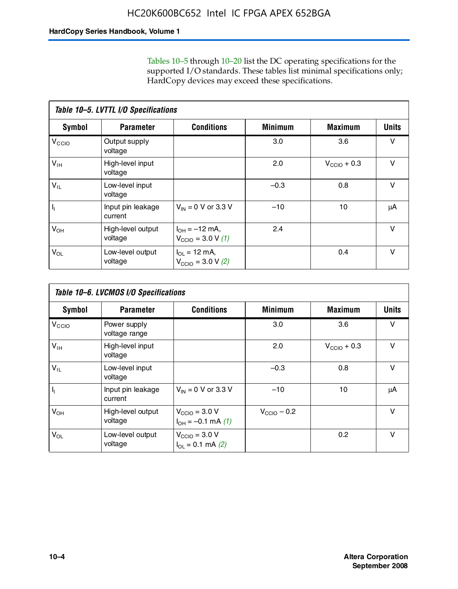Tables 10–5 through 10–20 list the DC operating specifications for the supported I/O standards. These tables list minimal specifications only; HardCopy devices may exceed these specifications.

|                           | Table 10-5. LVTTL I/O Specifications |                                                                 |                |                         |              |  |  |  |  |
|---------------------------|--------------------------------------|-----------------------------------------------------------------|----------------|-------------------------|--------------|--|--|--|--|
| Symbol                    | <b>Parameter</b>                     | <b>Conditions</b>                                               | <b>Minimum</b> | <b>Maximum</b>          | <b>Units</b> |  |  |  |  |
| $V_{\text{CCIO}}$         | Output supply<br>voltage             |                                                                 | 3.0            | 3.6                     | v            |  |  |  |  |
| $V_{\text{IH}}$           | High-level input<br>voltage          |                                                                 | 2.0            | $V_{\text{CCIO}} + 0.3$ | $\vee$       |  |  |  |  |
| $V_{IL}$                  | Low-level input<br>voltage           |                                                                 | $-0.3$         | 0.8                     | v            |  |  |  |  |
| $\mathsf{I}_{\mathsf{I}}$ | Input pin leakage<br>current         | $V_{IN} = 0$ V or 3.3 V                                         | $-10$          | 10                      | μA           |  |  |  |  |
| $V_{OH}$                  | High-level output<br>voltage         | $I_{OH} = -12$ mA,<br>$V_{\text{CCIO}} = 3.0 V (1)$             | 2.4            |                         | $\vee$       |  |  |  |  |
| $V_{OL}$                  | Low-level output<br>voltage          | $I_{\Omega I} = 12 \text{ mA}$<br>$V_{\text{CCIO}} = 3.0 V (2)$ |                | 0.4                     | $\vee$       |  |  |  |  |

|                   | Table 10-6. LVCMOS I/O Specifications |                                                       |                         |                  |              |  |  |  |  |
|-------------------|---------------------------------------|-------------------------------------------------------|-------------------------|------------------|--------------|--|--|--|--|
| Symbol            | <b>Parameter</b>                      | <b>Conditions</b>                                     | <b>Minimum</b>          | <b>Maximum</b>   | <b>Units</b> |  |  |  |  |
| V <sub>CCIO</sub> | Power supply<br>voltage range         |                                                       | 3.0                     | 3.6              | v            |  |  |  |  |
| $V_{\text{IH}}$   | High-level input<br>voltage           |                                                       | 2.0                     | $V_{CClO}$ + 0.3 | v            |  |  |  |  |
| $V_{IL}$          | Low-level input<br>voltage            |                                                       | $-0.3$                  | 0.8              | $\vee$       |  |  |  |  |
| H,                | Input pin leakage<br>current          | $V_{IN} = 0$ V or 3.3 V                               | $-10$                   | 10               | μA           |  |  |  |  |
| $V_{OH}$          | High-level output<br>voltage          | $V_{\text{CCIO}} = 3.0 V$<br>$I_{OH} = -0.1$ mA $(1)$ | $V_{\text{CCIO}} - 0.2$ |                  | $\vee$       |  |  |  |  |
| $V_{OL}$          | Low-level output<br>voltage           | $V_{\text{CCIO}} = 3.0 V$<br>$I_{OL} = 0.1$ mA (2)    |                         | 0.2              | $\vee$       |  |  |  |  |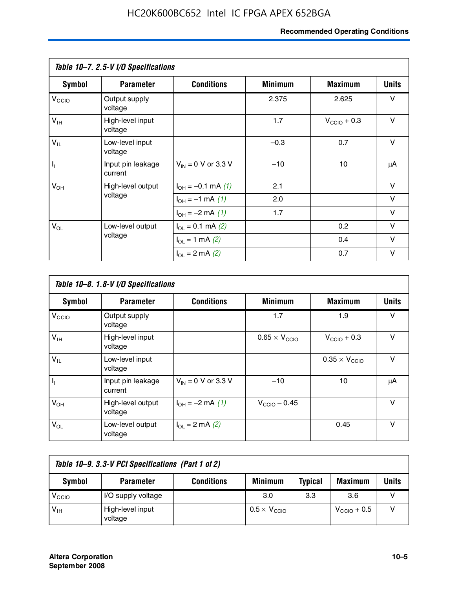### **Recommended Operating Conditions**

|                         | Table 10-7. 2.5-V I/O Specifications |                                      |                |                         |              |
|-------------------------|--------------------------------------|--------------------------------------|----------------|-------------------------|--------------|
| Symbol                  | <b>Parameter</b>                     | <b>Conditions</b>                    | <b>Minimum</b> | <b>Maximum</b>          | <b>Units</b> |
| V <sub>CCIO</sub>       | Output supply<br>voltage             |                                      | 2.375          | 2.625                   | v            |
| $V_{\text{IH}}$         | High-level input<br>voltage          |                                      | 1.7            | $V_{\text{CCIO}} + 0.3$ | $\vee$       |
| $V_{IL}$                | Low-level input<br>voltage           |                                      | $-0.3$         | 0.7                     | $\vee$       |
| $\mathsf{I}_\mathrm{I}$ | Input pin leakage<br>current         | $V_{IN} = 0$ V or 3.3 V              | $-10$          | 10                      | μA           |
| $V_{OH}$                | High-level output                    | $I_{OH} = -0.1$ mA $(1)$             | 2.1            |                         | $\vee$       |
|                         | voltage                              | $I_{OH} = -1$ mA $(1)$               | 2.0            |                         | V            |
|                         |                                      | $I_{OH} = -2$ mA (1)                 | 1.7            |                         | $\vee$       |
| $V_{OL}$                | Low-level output                     | $I_{\text{OL}} = 0.1 \text{ mA}$ (2) |                | 0.2                     | v            |
|                         | voltage                              | $I_{OL}$ = 1 mA (2)                  |                | 0.4                     | $\vee$       |
|                         |                                      | $I_{\Omega}$ = 2 mA (2)              |                | 0.7                     | v            |

|                           | Table 10-8. 1.8-V I/O Specifications |                         |                               |                               |              |  |  |  |  |
|---------------------------|--------------------------------------|-------------------------|-------------------------------|-------------------------------|--------------|--|--|--|--|
| Symbol                    | <b>Parameter</b>                     | <b>Conditions</b>       | <b>Minimum</b>                | <b>Maximum</b>                | <b>Units</b> |  |  |  |  |
| $V_{\text{CCIO}}$         | Output supply<br>voltage             |                         | 1.7                           | 1.9                           | v            |  |  |  |  |
| $V_{\text{IH}}$           | High-level input<br>voltage          |                         | $0.65 \times V_{\text{CCIO}}$ | $V_{\text{CCIO}} + 0.3$       | v            |  |  |  |  |
| $V_{IL}$                  | Low-level input<br>voltage           |                         |                               | $0.35 \times V_{\text{CCIO}}$ | v            |  |  |  |  |
| $\mathsf{I}_{\mathsf{I}}$ | Input pin leakage<br>current         | $V_{IN} = 0$ V or 3.3 V | $-10$                         | 10                            | μA           |  |  |  |  |
| $V_{OH}$                  | High-level output<br>voltage         | $I_{OH} = -2$ mA (1)    | $V_{\text{CCIO}} - 0.45$      |                               | $\vee$       |  |  |  |  |
| $V_{OL}$                  | Low-level output<br>voltage          | $I_{01} = 2$ mA (2)     |                               | 0.45                          | v            |  |  |  |  |

| Table 10-9. 3.3-V PCI Specifications (Part 1 of 2) |                             |                   |                              |                |                         |       |  |
|----------------------------------------------------|-----------------------------|-------------------|------------------------------|----------------|-------------------------|-------|--|
| Symbol                                             | <b>Parameter</b>            | <b>Conditions</b> | <b>Minimum</b>               | <b>Typical</b> | <b>Maximum</b>          | Units |  |
| V <sub>CIO</sub>                                   | I/O supply voltage          |                   | 3.0                          | 3.3            | 3.6                     |       |  |
| $V_{\text{IH}}$                                    | High-level input<br>voltage |                   | $0.5 \times V_{\text{CCIO}}$ |                | $V_{\text{CGIO}} + 0.5$ |       |  |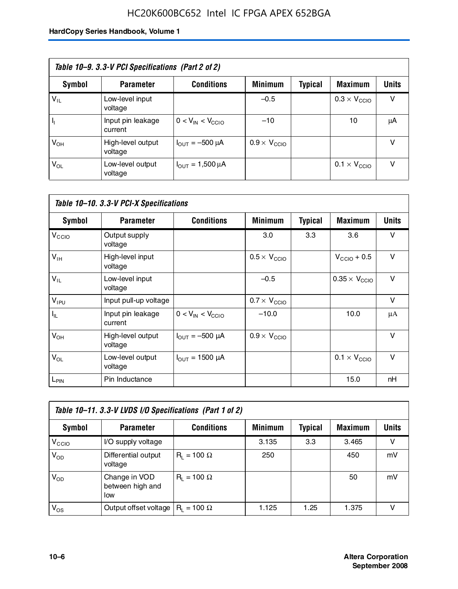### HC20K600BC652 Intel IC FPGA APEX 652BGA

| Table 10–9. 3.3-V PCI Specifications (Part 2 of 2) |                              |                                        |                              |         |                              |              |  |
|----------------------------------------------------|------------------------------|----------------------------------------|------------------------------|---------|------------------------------|--------------|--|
| Symbol                                             | <b>Parameter</b>             | <b>Conditions</b>                      | <b>Minimum</b>               | Typical | <b>Maximum</b>               | <b>Units</b> |  |
| $V_{IL}$                                           | Low-level input<br>voltage   |                                        | $-0.5$                       |         | $0.3 \times V_{\text{CCIO}}$ | v            |  |
|                                                    | Input pin leakage<br>current | $0 < V_{IN} < V_{CCIO}$                | $-10$                        |         | 10                           | μA           |  |
| $V_{OH}$                                           | High-level output<br>voltage | $I_{\text{OUT}} = -500 \mu A$          | $0.9 \times V_{\text{CCIO}}$ |         |                              | v            |  |
| $V_{OL}$                                           | Low-level output<br>voltage  | $I_{\text{OUT}} = 1,500 \,\mu\text{A}$ |                              |         | $0.1 \times V_{\text{CCIO}}$ | v            |  |

| Table 10-10. 3.3-V PCI-X Specifications |                              |                               |                              |                |                               |              |  |
|-----------------------------------------|------------------------------|-------------------------------|------------------------------|----------------|-------------------------------|--------------|--|
| <b>Symbol</b>                           | <b>Parameter</b>             | <b>Conditions</b>             | <b>Minimum</b>               | <b>Typical</b> | <b>Maximum</b>                | <b>Units</b> |  |
| V <sub>CCIO</sub>                       | Output supply<br>voltage     |                               | 3.0                          | 3.3            | 3.6                           | v            |  |
| V <sub>IH</sub>                         | High-level input<br>voltage  |                               | $0.5 \times V_{\text{CCIO}}$ |                | $V_{\text{CCIO}} + 0.5$       | $\vee$       |  |
| $V_{IL}$                                | Low-level input<br>voltage   |                               | $-0.5$                       |                | $0.35 \times V_{\text{CCIO}}$ | $\vee$       |  |
| $V_{IPU}$                               | Input pull-up voltage        |                               | $0.7 \times V_{\text{CCIO}}$ |                |                               | $\vee$       |  |
| $I_{\rm IL}$                            | Input pin leakage<br>current | $0 < V_{IN} < V_{CGIO}$       | $-10.0$                      |                | 10.0                          | μA           |  |
| $V_{OH}$                                | High-level output<br>voltage | $I_{\text{OUT}} = -500 \mu A$ | $0.9 \times V_{\text{CCIO}}$ |                |                               | $\vee$       |  |
| $V_{OL}$                                | Low-level output<br>voltage  | $I_{\text{OUT}} = 1500 \mu A$ |                              |                | $0.1 \times V_{\text{CCIO}}$  | $\vee$       |  |
| L <sub>PIN</sub>                        | Pin Inductance               |                               |                              |                | 15.0                          | nH           |  |

| Table 10-11. 3.3-V LVDS I/O Specifications (Part 1 of 2) |                                          |                    |                |         |                |        |  |
|----------------------------------------------------------|------------------------------------------|--------------------|----------------|---------|----------------|--------|--|
| Symbol                                                   | <b>Parameter</b>                         | <b>Conditions</b>  | <b>Minimum</b> | Typical | <b>Maximum</b> | Units  |  |
| V <sub>CIO</sub>                                         | I/O supply voltage                       |                    | 3.135          | 3.3     | 3.465          | $\vee$ |  |
| $V_{OD}$                                                 | Differential output<br>voltage           | $R_1 = 100 \Omega$ | 250            |         | 450            | mV     |  |
| $V_{OD}$                                                 | Change in VOD<br>between high and<br>low | $R_i = 100 \Omega$ |                |         | 50             | mV     |  |
| $V_{OS}$                                                 | Output offset voltage                    | $R_1 = 100 \Omega$ | 1.125          | 1.25    | 1.375          |        |  |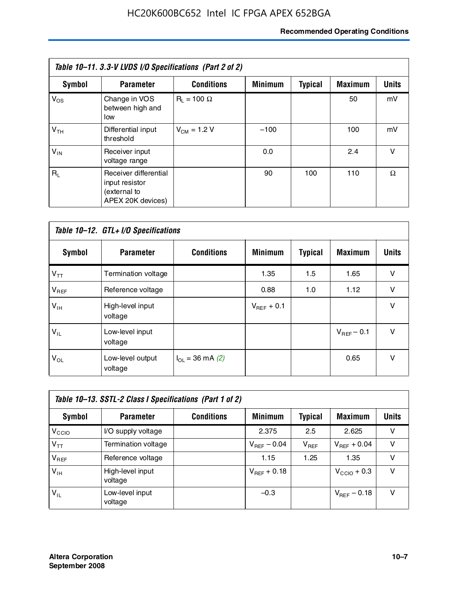### **Recommended Operating Conditions**

| Table 10-11. 3.3-V LVDS I/O Specifications (Part 2 of 2) |                                                                              |                    |                |                |                |              |  |
|----------------------------------------------------------|------------------------------------------------------------------------------|--------------------|----------------|----------------|----------------|--------------|--|
| <b>Symbol</b>                                            | <b>Parameter</b>                                                             | <b>Conditions</b>  | <b>Minimum</b> | <b>Typical</b> | <b>Maximum</b> | <b>Units</b> |  |
| $V_{OS}$                                                 | Change in VOS<br>between high and<br>low                                     | $R_1 = 100 \Omega$ |                |                | 50             | mV           |  |
| V <sub>TH</sub>                                          | Differential input<br>threshold                                              | $V_{CM} = 1.2 V$   | $-100$         |                | 100            | mV           |  |
| $V_{IN}$                                                 | Receiver input<br>voltage range                                              |                    | 0.0            |                | 2.4            | v            |  |
| $R_1$                                                    | Receiver differential<br>input resistor<br>(external to<br>APEX 20K devices) |                    | 90             | 100            | 110            | Ω            |  |

| Table 10-12. GTL+ I/O Specifications |                             |                          |                 |                |                 |              |  |
|--------------------------------------|-----------------------------|--------------------------|-----------------|----------------|-----------------|--------------|--|
| <b>Symbol</b>                        | <b>Parameter</b>            | <b>Conditions</b>        | <b>Minimum</b>  | <b>Typical</b> | <b>Maximum</b>  | <b>Units</b> |  |
| $V_{TT}$                             | Termination voltage         |                          | 1.35            | 1.5            | 1.65            | v            |  |
| $V_{REF}$                            | Reference voltage           |                          | 0.88            | 1.0            | 1.12            | $\vee$       |  |
| $V_{IH}$                             | High-level input<br>voltage |                          | $V_{REF}$ + 0.1 |                |                 | $\vee$       |  |
| $V_{IL}$                             | Low-level input<br>voltage  |                          |                 |                | $V_{BFF}$ – 0.1 | $\vee$       |  |
| $V_{OL}$                             | Low-level output<br>voltage | $I_{\Omega}$ = 36 mA (2) |                 |                | 0.65            | $\vee$       |  |

| Table 10–13. SSTL-2 Class I Specifications (Part 1 of 2) |                             |                   |                  |           |                         |              |  |
|----------------------------------------------------------|-----------------------------|-------------------|------------------|-----------|-------------------------|--------------|--|
| Symbol                                                   | <b>Parameter</b>            | <b>Conditions</b> | <b>Minimum</b>   | Typical   | <b>Maximum</b>          | <b>Units</b> |  |
| V <sub>CCIO</sub>                                        | I/O supply voltage          |                   | 2.375            | 2.5       | 2.625                   | v            |  |
| $V_{TT}$                                                 | Termination voltage         |                   | $V_{REF}$ – 0.04 | $V_{REF}$ | $V_{REF}$ + 0.04        | v            |  |
| $V_{REF}$                                                | Reference voltage           |                   | 1.15             | 1.25      | 1.35                    | v            |  |
| $V_{IH}$                                                 | High-level input<br>voltage |                   | $V_{REF}$ + 0.18 |           | $V_{\text{CCIO}} + 0.3$ | v            |  |
| $V_{\sf IL}$                                             | Low-level input<br>voltage  |                   | $-0.3$           |           | $V_{BFE}$ – 0.18        | v            |  |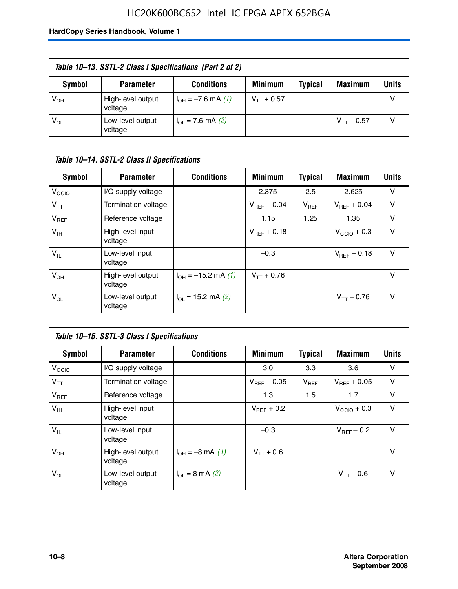### HC20K600BC652 Intel IC FPGA APEX 652BGA

| Table 10–13. SSTL-2 Class I Specifications (Part 2 of 2) |                              |                           |                 |                |                 |              |  |
|----------------------------------------------------------|------------------------------|---------------------------|-----------------|----------------|-----------------|--------------|--|
| Symbol                                                   | <b>Parameter</b>             | <b>Conditions</b>         | <b>Minimum</b>  | <b>Typical</b> | <b>Maximum</b>  | <b>Units</b> |  |
| $V_{OH}$                                                 | High-level output<br>voltage | $I_{OH} = -7.6$ mA (1)    | $V_{TT}$ + 0.57 |                |                 |              |  |
| $V_{OL}$                                                 | Low-level output<br>voltage  | $I_{\Omega}$ = 7.6 mA (2) |                 |                | $V_{TT}$ – 0.57 |              |  |

| Table 10–14. SSTL-2 Class II Specifications |                              |                            |                  |                |                  |              |
|---------------------------------------------|------------------------------|----------------------------|------------------|----------------|------------------|--------------|
| <b>Symbol</b>                               | <b>Parameter</b>             | <b>Conditions</b>          | <b>Minimum</b>   | <b>Typical</b> | <b>Maximum</b>   | <b>Units</b> |
| V <sub>CCIO</sub>                           | I/O supply voltage           |                            | 2.375            | 2.5            | 2.625            | v            |
| $V_{TT}$                                    | Termination voltage          |                            | $V_{BFF}$ – 0.04 | $V_{REF}$      | $V_{BFF}$ + 0.04 | v            |
| $V_{REF}$                                   | Reference voltage            |                            | 1.15             | 1.25           | 1.35             | v            |
| $V_{IH}$                                    | High-level input<br>voltage  |                            | $V_{BFF}$ + 0.18 |                | $V_{CCD}$ + 0.3  | v            |
| $V_{IL}$                                    | Low-level input<br>voltage   |                            | $-0.3$           |                | $V_{BFE} - 0.18$ | $\vee$       |
| $V_{OH}$                                    | High-level output<br>voltage | $I_{OH} = -15.2$ mA (1)    | $V_{TT} + 0.76$  |                |                  | v            |
| $V_{OL}$                                    | Low-level output<br>voltage  | $I_{\Omega}$ = 15.2 mA (2) |                  |                | $V_{TT} - 0.76$  | v            |

| Table 10-15. SSTL-3 Class I Specifications |                              |                                 |                  |                |                         |              |
|--------------------------------------------|------------------------------|---------------------------------|------------------|----------------|-------------------------|--------------|
| <b>Symbol</b>                              | <b>Parameter</b>             | <b>Conditions</b>               | <b>Minimum</b>   | <b>Typical</b> | <b>Maximum</b>          | <b>Units</b> |
| V <sub>CCIO</sub>                          | I/O supply voltage           |                                 | 3.0              | 3.3            | 3.6                     | v            |
| $V_{TT}$                                   | Termination voltage          |                                 | $V_{REF}$ – 0.05 | $V_{REF}$      | $V_{BFF}$ + 0.05        | v            |
| $V_{REF}$                                  | Reference voltage            |                                 | 1.3              | 1.5            | 1.7                     | v            |
| $V_{\text{IH}}$                            | High-level input<br>voltage  |                                 | $V_{BFF}$ + 0.2  |                | $V_{\text{CCIO}} + 0.3$ | v            |
| $V_{IL}$                                   | Low-level input<br>voltage   |                                 | $-0.3$           |                | $V_{\text{REF}}$ – 0.2  | v            |
| $V_{OH}$                                   | High-level output<br>voltage | $I_{OH} = -8 \text{ mA} (1)$    | $V_{TT} + 0.6$   |                |                         | v            |
| $V_{OL}$                                   | Low-level output<br>voltage  | $I_{\Omega} = 8 \text{ mA}$ (2) |                  |                | $V_{TT} - 0.6$          | v            |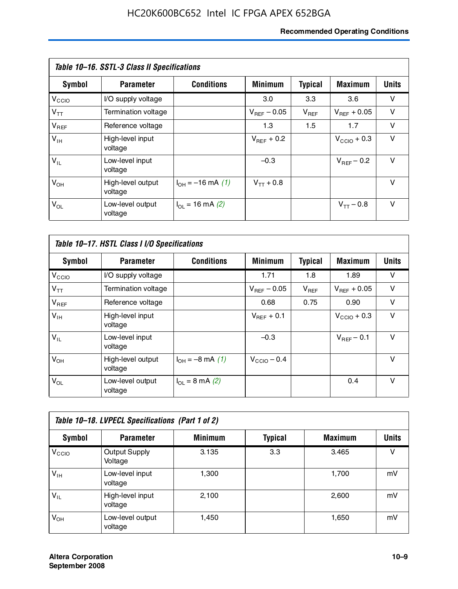### **Recommended Operating Conditions**

| Table 10–16. SSTL-3 Class II Specifications |                              |                          |                         |                |                        |              |
|---------------------------------------------|------------------------------|--------------------------|-------------------------|----------------|------------------------|--------------|
| <b>Symbol</b>                               | <b>Parameter</b>             | <b>Conditions</b>        | <b>Minimum</b>          | <b>Typical</b> | <b>Maximum</b>         | <b>Units</b> |
| $V_{\rm CCIO}$                              | I/O supply voltage           |                          | 3.0                     | 3.3            | 3.6                    | v            |
| $V_{TT}$                                    | Termination voltage          |                          | $V_{\text{BFE}} - 0.05$ | $V_{REF}$      | $V_{BFF}$ + 0.05       | v            |
| $V_{REF}$                                   | Reference voltage            |                          | 1.3                     | 1.5            | 1.7                    | v            |
| $V_{IH}$                                    | High-level input<br>voltage  |                          | $V_{\text{BFF}} + 0.2$  |                | $V_{CCD}$ + 0.3        | v            |
| $V_{IL}$                                    | Low-level input<br>voltage   |                          | $-0.3$                  |                | $V_{\text{BFF}}$ – 0.2 | $\vee$       |
| $V_{OH}$                                    | High-level output<br>voltage | $I_{OH} = -16$ mA (1)    | $V_{TT}$ + 0.8          |                |                        | $\vee$       |
| $V_{OL}$                                    | Low-level output<br>voltage  | $I_{\Omega}$ = 16 mA (2) |                         |                | $V_{TT} - 0.8$         | v            |

| Table 10-17. HSTL Class I I/O Specifications |                              |                                 |                         |                |                         |        |
|----------------------------------------------|------------------------------|---------------------------------|-------------------------|----------------|-------------------------|--------|
| Symbol                                       | <b>Parameter</b>             | <b>Conditions</b>               | <b>Minimum</b>          | <b>Typical</b> | <b>Maximum</b>          | Units  |
| V <sub>CCIO</sub>                            | I/O supply voltage           |                                 | 1.71                    | 1.8            | 1.89                    | v      |
| $V_{TT}$                                     | Termination voltage          |                                 | $V_{\text{BFE}} - 0.05$ | $V_{REF}$      | $V_{BFF}$ + 0.05        | $\vee$ |
| $V_{REF}$                                    | Reference voltage            |                                 | 0.68                    | 0.75           | 0.90                    | $\vee$ |
| $V_{\text{IH}}$                              | High-level input<br>voltage  |                                 | $V_{BFF}$ + 0.1         |                | $V_{\text{CCIO}} + 0.3$ | $\vee$ |
| $V_{IL}$                                     | Low-level input<br>voltage   |                                 | $-0.3$                  |                | $V_{BFF}$ – 0.1         | $\vee$ |
| $V_{OH}$                                     | High-level output<br>voltage | $I_{OH} = -8$ mA (1)            | $V_{\text{CCIO}} - 0.4$ |                |                         | v      |
| $V_{OL}$                                     | Low-level output<br>voltage  | $I_{\Omega} = 8 \text{ mA}$ (2) |                         |                | 0.4                     | $\vee$ |

| Table 10-18. LVPECL Specifications (Part 1 of 2) |                                 |                |                |                |              |  |
|--------------------------------------------------|---------------------------------|----------------|----------------|----------------|--------------|--|
| Symbol                                           | <b>Parameter</b>                | <b>Minimum</b> | <b>Typical</b> | <b>Maximum</b> | <b>Units</b> |  |
| V <sub>CIO</sub>                                 | <b>Output Supply</b><br>Voltage | 3.135          | 3.3            | 3.465          | v            |  |
| $V_{IH}$                                         | Low-level input<br>voltage      | 1,300          |                | 1,700          | mV           |  |
| $V_{IL}$                                         | High-level input<br>voltage     | 2,100          |                | 2,600          | mV           |  |
| $V_{OH}$                                         | Low-level output<br>voltage     | 1.450          |                | 1,650          | mV           |  |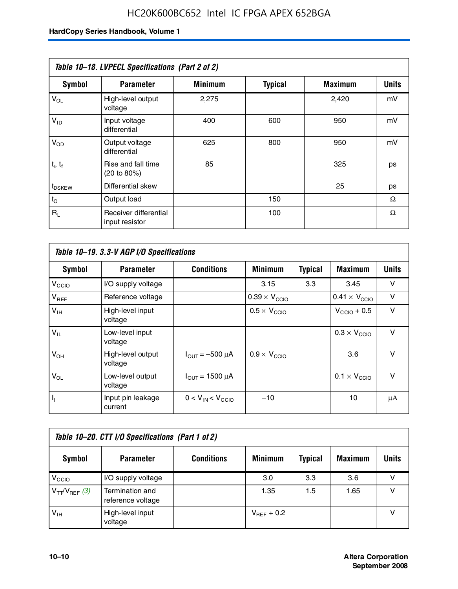|                    | Table 10-18. LVPECL Specifications (Part 2 of 2) |                |                |                |              |
|--------------------|--------------------------------------------------|----------------|----------------|----------------|--------------|
| <b>Symbol</b>      | <b>Parameter</b>                                 | <b>Minimum</b> | <b>Typical</b> | <b>Maximum</b> | <b>Units</b> |
| $V_{OL}$           | High-level output<br>voltage                     | 2,275          |                | 2,420          | mV           |
| $V_{ID}$           | Input voltage<br>differential                    | 400            | 600            | 950            | mV           |
| $V_{OD}$           | Output voltage<br>differential                   | 625            | 800            | 950            | mV           |
| $t_r$ , $t_f$      | Rise and fall time<br>(20 to 80%)                | 85             |                | 325            | ps           |
| t <sub>DSKEW</sub> | Differential skew                                |                |                | 25             | ps           |
| $t_{\rm O}$        | Output load                                      |                | 150            |                | Ω            |
| $R_{\rm L}$        | Receiver differential<br>input resistor          |                | 100            |                | Ω            |

| Table 10–19. 3.3-V AGP I/O Specifications |                              |                               |                               |                |                               |              |
|-------------------------------------------|------------------------------|-------------------------------|-------------------------------|----------------|-------------------------------|--------------|
| Symbol                                    | <b>Parameter</b>             | <b>Conditions</b>             | <b>Minimum</b>                | <b>Typical</b> | <b>Maximum</b>                | <b>Units</b> |
| V <sub>CCIO</sub>                         | I/O supply voltage           |                               | 3.15                          | 3.3            | 3.45                          | v            |
| $V_{REF}$                                 | Reference voltage            |                               | $0.39 \times V_{\text{CCIO}}$ |                | $0.41 \times V_{\text{CCIO}}$ | v            |
| $V_{\text{IH}}$                           | High-level input<br>voltage  |                               | $0.5 \times V_{\text{CCIO}}$  |                | $V_{CClO}$ + 0.5              | v            |
| $V_{IL}$                                  | Low-level input<br>voltage   |                               |                               |                | $0.3 \times V_{\text{CCIO}}$  | $\vee$       |
| $V_{OH}$                                  | High-level output<br>voltage | $I_{\text{OUT}} = -500 \mu A$ | $0.9 \times V_{\text{CCIO}}$  |                | 3.6                           | $\vee$       |
| $V_{OL}$                                  | Low-level output<br>voltage  | $I_{OUT}$ = 1500 µA           |                               |                | $0.1 \times V_{\text{CCIO}}$  | $\vee$       |
| $I_1$                                     | Input pin leakage<br>current | $0 < V_{IN} < V_{CCIO}$       | $-10$                         |                | 10                            | μA           |

| Table 10-20. CTT I/O Specifications (Part 1 of 2) |                                      |                   |                 |                |                |       |  |
|---------------------------------------------------|--------------------------------------|-------------------|-----------------|----------------|----------------|-------|--|
| Symbol                                            | <b>Parameter</b>                     | <b>Conditions</b> | <b>Minimum</b>  | <b>Typical</b> | <b>Maximum</b> | Units |  |
| V <sub>CCIO</sub>                                 | I/O supply voltage                   |                   | 3.0             | 3.3            | 3.6            | ν     |  |
| $V_{TT}/V_{REF}$ (3)                              | Termination and<br>reference voltage |                   | 1.35            | 1.5            | 1.65           |       |  |
| $V_{\text{IH}}$                                   | High-level input<br>voltage          |                   | $V_{BFF}$ + 0.2 |                |                |       |  |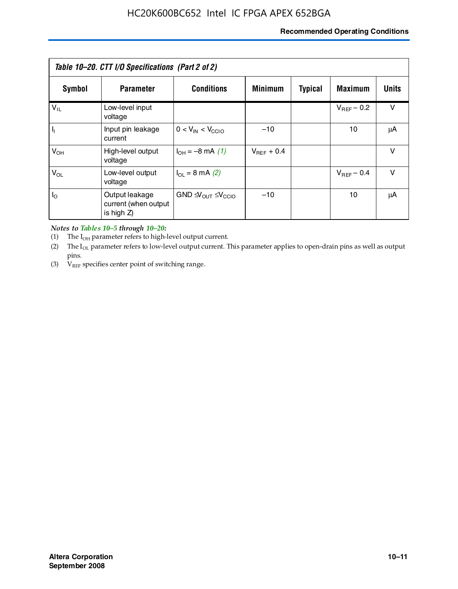### **Recommended Operating Conditions**

| Table 10–20. CTT I/O Specifications (Part 2 of 2) |                                                      |                                             |                 |                |                 |              |  |
|---------------------------------------------------|------------------------------------------------------|---------------------------------------------|-----------------|----------------|-----------------|--------------|--|
| Symbol                                            | <b>Parameter</b>                                     | <b>Conditions</b>                           | <b>Minimum</b>  | <b>Typical</b> | <b>Maximum</b>  | <b>Units</b> |  |
| $V_{IL}$                                          | Low-level input<br>voltage                           |                                             |                 |                | $V_{BFF}$ – 0.2 | v            |  |
| H,                                                | Input pin leakage<br>current                         | $0 < V_{IN} < V_{CCIO}$                     | $-10$           |                | 10              | μA           |  |
| $V_{OH}$                                          | High-level output<br>voltage                         | $I_{OH} = -8$ mA (1)                        | $V_{BFF}$ + 0.4 |                |                 | $\vee$       |  |
| $V_{OL}$                                          | Low-level output<br>voltage                          | $I_{\Omega}$ = 8 mA (2)                     |                 |                | $V_{BFF}$ – 0.4 | $\vee$       |  |
| $I_{\odot}$                                       | Output leakage<br>current (when output<br>is high Z) | $GND \trianglelefteq V_{OUT} \leq V_{CCIO}$ | $-10$           |                | 10              | μA           |  |

*Notes to Tables 10–5 through 10–20:*

(1) The  $I_{OH}$  parameter refers to high-level output current.

(2) The  $I_{OL}$  parameter refers to low-level output current. This parameter applies to open-drain pins as well as output pins.

(3)  $V_{REF}$  specifies center point of switching range.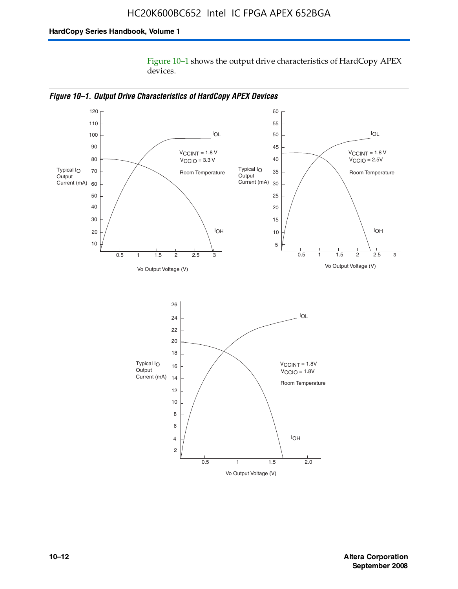Figure 10–1 shows the output drive characteristics of HardCopy APEX devices.



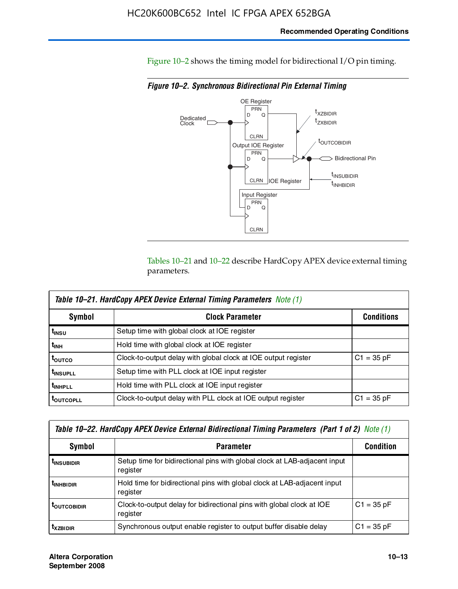Figure 10–2 shows the timing model for bidirectional I/O pin timing.

*Figure 10–2. Synchronous Bidirectional Pin External Timing*



Tables 10–21 and 10–22 describe HardCopy APEX device external timing parameters.

| <b>Table 10–21. HardCopy APEX Device External Timing Parameters</b> Note (1) |                                                                |                   |  |  |  |  |
|------------------------------------------------------------------------------|----------------------------------------------------------------|-------------------|--|--|--|--|
| Symbol                                                                       | <b>Clock Parameter</b>                                         | <b>Conditions</b> |  |  |  |  |
| t <sub>insu</sub>                                                            | Setup time with global clock at IOE register                   |                   |  |  |  |  |
| t <sub>інн</sub>                                                             | Hold time with global clock at IOE register                    |                   |  |  |  |  |
| t <sub>outco</sub>                                                           | Clock-to-output delay with global clock at IOE output register | $C1 = 35 pF$      |  |  |  |  |
| <b>t</b> INSUPLL                                                             | Setup time with PLL clock at IOE input register                |                   |  |  |  |  |
| t <sub>inhpll</sub>                                                          | Hold time with PLL clock at IOE input register                 |                   |  |  |  |  |
| <b>LOUTCOPLL</b>                                                             | Clock-to-output delay with PLL clock at IOE output register    | $C1 = 35 pF$      |  |  |  |  |

| Table 10–22. HardCopy APEX Device External Bidirectional Timing Parameters (Part 1 of 2) Note (1) |                                                                                       |              |  |  |  |  |
|---------------------------------------------------------------------------------------------------|---------------------------------------------------------------------------------------|--------------|--|--|--|--|
| Symbol                                                                                            | <b>Condition</b>                                                                      |              |  |  |  |  |
| <b><i>L</i>INSUBIDIR</b>                                                                          | Setup time for bidirectional pins with global clock at LAB-adjacent input<br>register |              |  |  |  |  |
| <b><i>L</i>INHBIDIR</b>                                                                           | Hold time for bidirectional pins with global clock at LAB-adjacent input<br>register  |              |  |  |  |  |
| <b>LOUTCOBIDIR</b>                                                                                | Clock-to-output delay for bidirectional pins with global clock at IOE<br>register     | $C1 = 35 pF$ |  |  |  |  |
| <b>T</b> x <sub>7BIDIR</sub>                                                                      | Synchronous output enable register to output buffer disable delay                     | $C1 = 35 pF$ |  |  |  |  |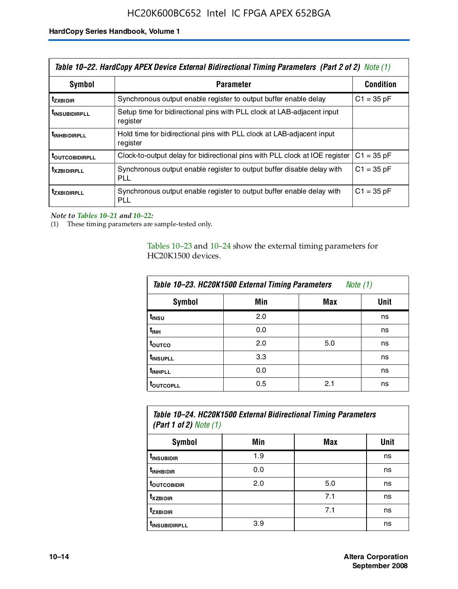| Table 10–22. HardCopy APEX Device External Bidirectional Timing Parameters (Part 2 of 2) Note (1) |                                                                                    |              |  |  |  |
|---------------------------------------------------------------------------------------------------|------------------------------------------------------------------------------------|--------------|--|--|--|
| Symbol                                                                                            | <b>Parameter</b>                                                                   |              |  |  |  |
| <b>t</b> zxbidir                                                                                  | Synchronous output enable register to output buffer enable delay                   | $C1 = 35 pF$ |  |  |  |
| <b>t</b> insubidirpll                                                                             | Setup time for bidirectional pins with PLL clock at LAB-adjacent input<br>register |              |  |  |  |
| <b><i>LINHBIDIRPLL</i></b>                                                                        | Hold time for bidirectional pins with PLL clock at LAB-adjacent input<br>register  |              |  |  |  |
| <b>TOUTCOBIDIRPLL</b>                                                                             | Clock-to-output delay for bidirectional pins with PLL clock at IOE register        | $C1 = 35 pF$ |  |  |  |
| <i><b>T</b> x z BIDIRPLL</i>                                                                      | Synchronous output enable register to output buffer disable delay with<br>PLL      | $C1 = 35 pF$ |  |  |  |
| <b>tzxbidirpll</b>                                                                                | Synchronous output enable register to output buffer enable delay with<br>PLI.      | $C1 = 35 pF$ |  |  |  |

*Note to Tables 10–21 and 10–22:*

(1) These timing parameters are sample-tested only.

Tables 10–23 and 10–24 show the external timing parameters for HC20K1500 devices.

| Table 10-23. HC20K1500 External Timing Parameters<br>Note (1) |     |     |      |
|---------------------------------------------------------------|-----|-----|------|
| <b>Symbol</b>                                                 | Min | Max | Unit |
| t <sub>INSU</sub>                                             | 2.0 |     | ns   |
| $t_{\sf INH}$                                                 | 0.0 |     | ns   |
| t <sub>outco</sub>                                            | 2.0 | 5.0 | ns   |
| t <sub>INSUPLL</sub>                                          | 3.3 |     | ns   |
| t <sub>INHPLL</sub>                                           | 0.0 |     | ns   |
| <b>toutcopll</b>                                              | 0.5 | 2.1 | ns   |

| Table 10–24. HC20K1500 External Bidirectional Timing Parameters<br>(Part 1 of 2) Note $(1)$ |     |     |      |
|---------------------------------------------------------------------------------------------|-----|-----|------|
| Symbol                                                                                      | Min | Max | Unit |
| <sup>t</sup> INSUBIDIR                                                                      | 1.9 |     | ns   |
| t <sub>inhBidir</sub>                                                                       | 0.0 |     | ns   |

| t <sub>inhbidir</sub>     | 0.0 |     | ns |
|---------------------------|-----|-----|----|
| t <sub>outcobidir</sub>   | 2.0 | 5.0 | ns |
| t <sub>xzbidir</sub>      |     | 7.1 | ns |
| t <sub>zxbidir</sub>      |     | 7.1 | ns |
| t <sub>insubidirpll</sub> | 3.9 |     | ns |
|                           |     |     |    |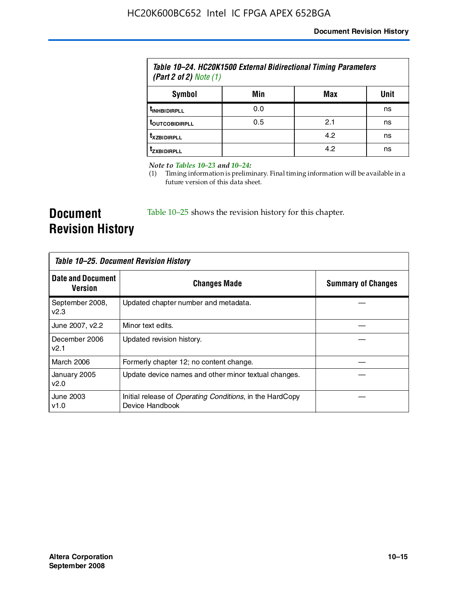| Table 10–24. HC20K1500 External Bidirectional Timing Parameters<br>(Part 2 of 2) Note $(1)$ |     |     |      |
|---------------------------------------------------------------------------------------------|-----|-----|------|
| Symbol                                                                                      | Min | Max | Unit |
| <b><i>UNHBIDIRPLL</i></b>                                                                   | 0.0 |     | ns   |
| <b><i>LOUTCOBIDIRPLL</i></b>                                                                | 0.5 | 2.1 | ns   |
| <b>T</b> XZBIDIRPLL                                                                         |     | 4.2 | ns   |
| Izxrinirpi i                                                                                |     | 4.2 | ns   |

*Note to Tables 10–23 and 10–24:*

(1) Timing information is preliminary. Final timing information will be available in a future version of this data sheet.

**Document Revision History**

Table 10–25 shows the revision history for this chapter.

| Table 10–25. Document Revision History     |                                                                                     |                           |
|--------------------------------------------|-------------------------------------------------------------------------------------|---------------------------|
| <b>Date and Document</b><br><b>Version</b> | <b>Changes Made</b>                                                                 | <b>Summary of Changes</b> |
| September 2008,<br>v2.3                    | Updated chapter number and metadata.                                                |                           |
| June 2007, v2.2                            | Minor text edits.                                                                   |                           |
| December 2006<br>v2.1                      | Updated revision history.                                                           |                           |
| March 2006                                 | Formerly chapter 12; no content change.                                             |                           |
| January 2005<br>v2.0                       | Update device names and other minor textual changes.                                |                           |
| June 2003<br>v1.0                          | Initial release of <i>Operating Conditions</i> , in the HardCopy<br>Device Handbook |                           |